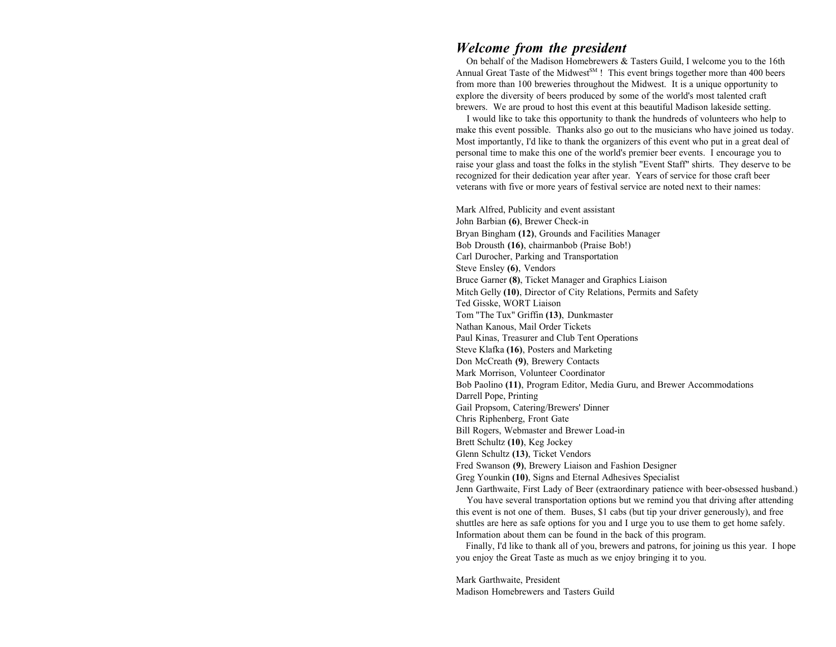### *Welcome from the president*

 On behalf of the Madison Homebrewers & Tasters Guild, I welcome you to the 16th Annual Great Taste of the Midwest<sup>SM</sup> ! This event brings together more than 400 beers from more than 100 breweries throughout the Midwest. It is a unique opportunity to explore the diversity of beers produced by some of the world's most talented craft brewers. We are proud to host this event at this beautiful Madison lakeside setting.

 I would like to take this opportunity to thank the hundreds of volunteers who help to make this event possible. Thanks also go out to the musicians who have joined us today. Most importantly, I'd like to thank the organizers of this event who put in a great deal of personal time to make this one of the world's premier beer events. I encourage you to raise your glass and toast the folks in the stylish "Event Staff" shirts. They deserve to be recognized for their dedication year after year. Years of service for those craft beer veterans with five or more years of festival service are noted next to their names:

Mark Alfred, Publicity and event assistant John Barbian **(6)**, Brewer Check-in Bryan Bingham **(12)**, Grounds and Facilities Manager Bob Drousth **(16)**, chairmanbob (Praise Bob!) Carl Durocher, Parking and Transportation Steve Ensley **(6)**, Vendors Bruce Garner **(8)**, Ticket Manager and Graphics Liaison Mitch Gelly **(10)**, Director of City Relations, Permits and Safety Ted Gisske, WORT Liaison Tom "The Tux" Griffin **(13)**, Dunkmaster Nathan Kanous, Mail Order Tickets Paul Kinas, Treasurer and Club Tent Operations Steve Klafka **(16)**, Posters and Marketing Don McCreath **(9)**, Brewery Contacts Mark Morrison, Volunteer Coordinator Bob Paolino **(11)**, Program Editor, Media Guru, and Brewer Accommodations Darrell Pope, Printing Gail Propsom, Catering/Brewers' Dinner Chris Riphenberg, Front Gate Bill Rogers, Webmaster and Brewer Load-in Brett Schultz **(10)**, Keg Jockey Glenn Schultz **(13)**, Ticket Vendors Fred Swanson **(9)**, Brewery Liaison and Fashion Designer Greg Younkin **(10)**, Signs and Eternal Adhesives Specialist Jenn Garthwaite, First Lady of Beer (extraordinary patience with beer-obsessed husband.)

 You have several transportation options but we remind you that driving after attending this event is not one of them. Buses, \$1 cabs (but tip your driver generously), and free shuttles are here as safe options for you and I urge you to use them to get home safely. Information about them can be found in the back of this program.

 Finally, I'd like to thank all of you, brewers and patrons, for joining us this year. I hope you enjoy the Great Taste as much as we enjoy bringing it to you.

Mark Garthwaite, President Madison Homebrewers and Tasters Guild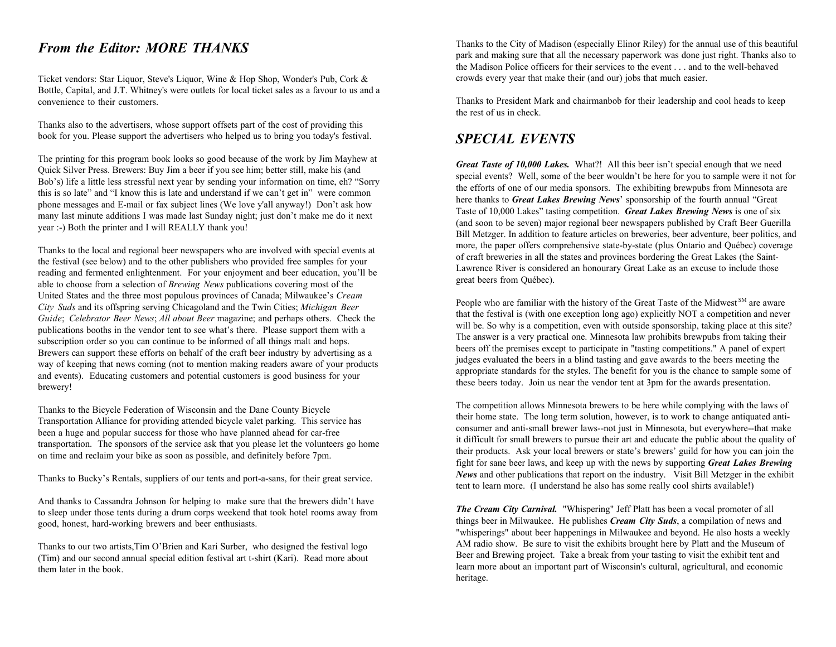### *From the Editor: MORE THANKS*

Ticket vendors: Star Liquor, Steve's Liquor, Wine & Hop Shop, Wonder's Pub, Cork & Bottle, Capital, and J.T. Whitney's were outlets for local ticket sales as a favour to us and a convenience to their customers.

Thanks also to the advertisers, whose support offsets part of the cost of providing this book for you. Please support the advertisers who helped us to bring you today's festival.

The printing for this program book looks so good because of the work by Jim Mayhew at Quick Silver Press. Brewers: Buy Jim a beer if you see him; better still, make his (and Bob's) life a little less stressful next year by sending your information on time, eh? "Sorry this is so late" and "I know this is late and understand if we can't get in" were common phone messages and E-mail or fax subject lines (We love y'all anyway!) Don't ask how many last minute additions I was made last Sunday night; just don't make me do it next year :-) Both the printer and I will REALLY thank you!

Thanks to the local and regional beer newspapers who are involved with special events at the festival (see below) and to the other publishers who provided free samples for your reading and fermented enlightenment. For your enjoyment and beer education, you'll be able to choose from a selection of *Brewing News* publications covering most of the United States and the three most populous provinces of Canada; Milwaukee's *Cream City Suds* and its offspring serving Chicagoland and the Twin Cities; *Michigan Beer Guide*; *Celebrator Beer News*; *All about Beer* magazine; and perhaps others. Check the publications booths in the vendor tent to see what's there. Please support them with a subscription order so you can continue to be informed of all things malt and hops. Brewers can support these efforts on behalf of the craft beer industry by advertising as a way of keeping that news coming (not to mention making readers aware of your products and events). Educating customers and potential customers is good business for your brewery!

Thanks to the Bicycle Federation of Wisconsin and the Dane County Bicycle Transportation Alliance for providing attended bicycle valet parking. This service has been a huge and popular success for those who have planned ahead for car-free transportation. The sponsors of the service ask that you please let the volunteers go home on time and reclaim your bike as soon as possible, and definitely before 7pm.

Thanks to Bucky's Rentals, suppliers of our tents and port-a-sans, for their great service.

And thanks to Cassandra Johnson for helping to make sure that the brewers didn't have to sleep under those tents during a drum corps weekend that took hotel rooms away from good, honest, hard-working brewers and beer enthusiasts.

Thanks to our two artists,Tim O'Brien and Kari Surber, who designed the festival logo (Tim) and our second annual special edition festival art t-shirt (Kari). Read more about them later in the book.

Thanks to the City of Madison (especially Elinor Riley) for the annual use of this beautiful park and making sure that all the necessary paperwork was done just right. Thanks also to the Madison Police officers for their services to the event . . . and to the well-behavedcrowds every year that make their (and our) jobs that much easier.

Thanks to President Mark and chairmanbob for their leadership and cool heads to keep the rest of us in check.

## *SPECIAL EVENTS*

*Great Taste of 10,000 Lakes.* What?! All this beer isn't special enough that we need special events? Well, some of the beer wouldn't be here for you to sample were it not for the efforts of one of our media sponsors. The exhibiting brewpubs from Minnesota are here thanks to *Great Lakes Brewing News*' sponsorship of the fourth annual "Great Taste of 10,000 Lakes" tasting competition. *Great Lakes Brewing News* is one of six (and soon to be seven) major regional beer newspapers published by Craft Beer Guerilla Bill Metzger. In addition to feature articles on breweries, beer adventure, beer politics, and more, the paper offers comprehensive state-by-state (plus Ontario and Québec) coverage of craft breweries in all the states and provinces bordering the Great Lakes (the Saint-Lawrence River is considered an honourary Great Lake as an excuse to include those great beers from Québec).

People who are familiar with the history of the Great Taste of the Midwest  $S_M$  are aware that the festival is (with one exception long ago) explicitly NOT a competition and never will be. So why is a competition, even with outside sponsorship, taking place at this site? The answer is a very practical one. Minnesota law prohibits brewpubs from taking their beers off the premises except to participate in "tasting competitions." A panel of expert judges evaluated the beers in a blind tasting and gave awards to the beers meeting the appropriate standards for the styles. The benefit for you is the chance to sample some of these beers today. Join us near the vendor tent at 3pm for the awards presentation.

The competition allows Minnesota brewers to be here while complying with the laws of their home state. The long term solution, however, is to work to change antiquated anticonsumer and anti-small brewer laws--not just in Minnesota, but everywhere--that make it difficult for small brewers to pursue their art and educate the public about the quality of their products. Ask your local brewers or state's brewers' guild for how you can join the fight for sane beer laws, and keep up with the news by supporting *Great Lakes Brewing News* and other publications that report on the industry. Visit Bill Metzger in the exhibit tent to learn more. (I understand he also has some really cool shirts available!)

*The Cream City Carnival.* "Whispering" Jeff Platt has been a vocal promoter of all things beer in Milwaukee. He publishes *Cream City Suds*, a compilation of news and "whisperings" about beer happenings in Milwaukee and beyond. He also hosts a weekly AM radio show. Be sure to visit the exhibits brought here by Platt and the Museum of Beer and Brewing project. Take a break from your tasting to visit the exhibit tent and learn more about an important part of Wisconsin's cultural, agricultural, and economic heritage.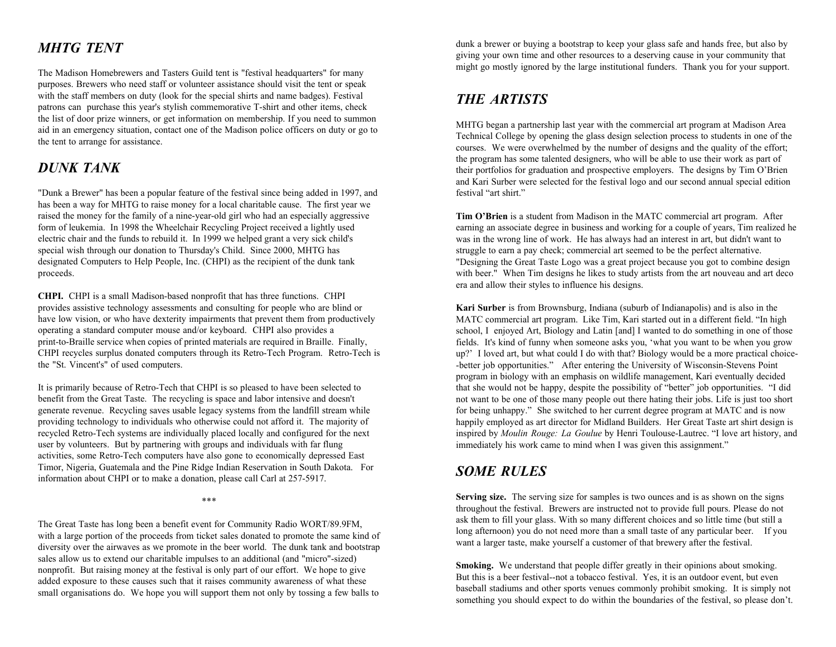## *MHTG TENT*

The Madison Homebrewers and Tasters Guild tent is "festival headquarters" for many purposes. Brewers who need staff or volunteer assistance should visit the tent or speak with the staff members on duty (look for the special shirts and name badges). Festival patrons can purchase this year's stylish commemorative T-shirt and other items, check the list of door prize winners, or get information on membership. If you need to summon aid in an emergency situation, contact one of the Madison police officers on duty or go to the tent to arrange for assistance.

## *DUNK TANK*

"Dunk a Brewer" has been a popular feature of the festival since being added in 1997, and festival "art shirt." has been a way for MHTG to raise money for a local charitable cause. The first year we raised the money for the family of a nine-year-old girl who had an especially aggressive form of leukemia. In 1998 the Wheelchair Recycling Project received a lightly used electric chair and the funds to rebuild it. In 1999 we helped grant a very sick child's special wish through our donation to Thursday's Child. Since 2000, MHTG has designated Computers to Help People, Inc. (CHPI) as the recipient of the dunk tank proceeds.

**CHPI.** CHPI is a small Madison-based nonprofit that has three functions. CHPI provides assistive technology assessments and consulting for people who are blind or have low vision, or who have dexterity impairments that prevent them from productively operating a standard computer mouse and/or keyboard. CHPI also provides a print-to-Braille service when copies of printed materials are required in Braille. Finally, CHPI recycles surplus donated computers through its Retro-Tech Program. Retro-Tech is the "St. Vincent's" of used computers.

It is primarily because of Retro-Tech that CHPI is so pleased to have been selected to benefit from the Great Taste. The recycling is space and labor intensive and doesn't generate revenue. Recycling saves usable legacy systems from the landfill stream while providing technology to individuals who otherwise could not afford it. The majority of recycled Retro-Tech systems are individually placed locally and configured for the next user by volunteers. But by partnering with groups and individuals with far flung activities, some Retro-Tech computers have also gone to economically depressed East Timor, Nigeria, Guatemala and the Pine Ridge Indian Reservation in South Dakota. For information about CHPI or to make a donation, please call Carl at 257-5917.

\*\*\*

The Great Taste has long been a benefit event for Community Radio WORT/89.9FM, with a large portion of the proceeds from ticket sales donated to promote the same kind of diversity over the airwaves as we promote in the beer world. The dunk tank and bootstrap sales allow us to extend our charitable impulses to an additional (and "micro"-sized) nonprofit. But raising money at the festival is only part of our effort. We hope to give added exposure to these causes such that it raises community awareness of what these small organisations do. We hope you will support them not only by tossing a few balls to

dunk a brewer or buying a bootstrap to keep your glass safe and hands free, but also by giving your own time and other resources to a deserving cause in your community that might go mostly ignored by the large institutional funders. Thank you for your support.

## *THE ARTISTS*

MHTG began a partnership last year with the commercial art program at Madison Area Technical College by opening the glass design selection process to students in one of the courses. We were overwhelmed by the number of designs and the quality of the effort; the program has some talented designers, who will be able to use their work as part of their portfolios for graduation and prospective employers. The designs by Tim O'Brien and Kari Surber were selected for the festival logo and our second annual special edition

**Tim O'Brien** is a student from Madison in the MATC commercial art program. After earning an associate degree in business and working for a couple of years, Tim realized he was in the wrong line of work. He has always had an interest in art, but didn't want to struggle to earn a pay check; commercial art seemed to be the perfect alternative. "Designing the Great Taste Logo was a great project because you got to combine design with beer." When Tim designs he likes to study artists from the art nouveau and art deco era and allow their styles to influence his designs.

**Kari Surber** is from Brownsburg, Indiana (suburb of Indianapolis) and is also in the MATC commercial art program. Like Tim, Kari started out in a different field. "In high school, I enjoyed Art, Biology and Latin [and] I wanted to do something in one of those fields. It's kind of funny when someone asks you, 'what you want to be when you grow up?' I loved art, but what could I do with that? Biology would be a more practical choice- -better job opportunities." After entering the University of Wisconsin-Stevens Point program in biology with an emphasis on wildlife management, Kari eventually decided that she would not be happy, despite the possibility of "better" job opportunities. "I did not want to be one of those many people out there hating their jobs. Life is just too short for being unhappy." She switched to her current degree program at MATC and is now happily employed as art director for Midland Builders. Her Great Taste art shirt design is inspired by *Moulin Rouge: La Goulue* by Henri Toulouse-Lautrec. "I love art history, and immediately his work came to mind when I was given this assignment."

## *SOME RULES*

Serving size. The serving size for samples is two ounces and is as shown on the signs throughout the festival. Brewers are instructed not to provide full pours. Please do not ask them to fill your glass. With so many different choices and so little time (but still a long afternoon) you do not need more than a small taste of any particular beer. If you want a larger taste, make yourself a customer of that brewery after the festival.

**Smoking.** We understand that people differ greatly in their opinions about smoking. But this is a beer festival--not a tobacco festival. Yes, it is an outdoor event, but even baseball stadiums and other sports venues commonly prohibit smoking. It is simply not something you should expect to do within the boundaries of the festival, so please don't.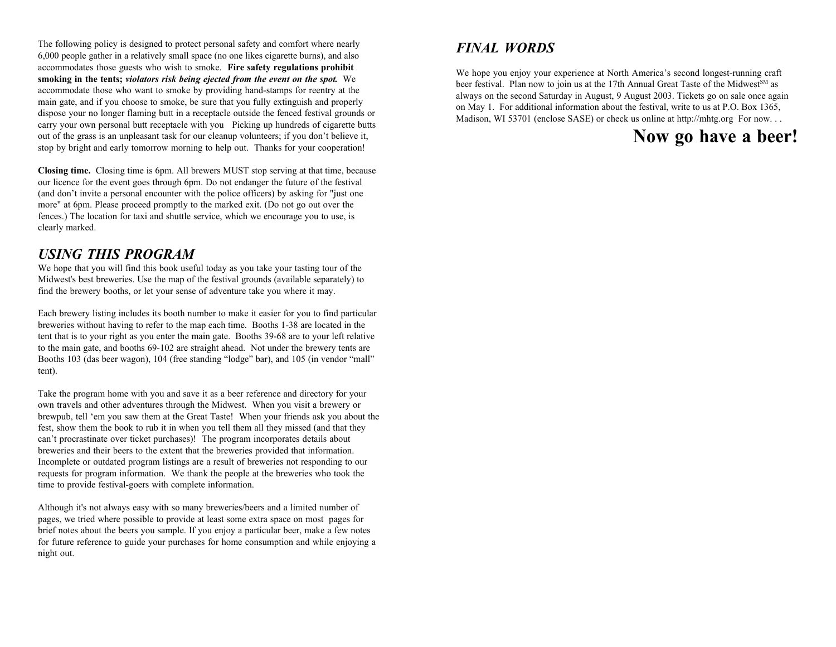The following policy is designed to protect personal safety and comfort where nearly 6,000 people gather in a relatively small space (no one likes cigarette burns), and also accommodates those guests who wish to smoke. **Fire safety regulations prohibit smoking in the tents;** *violators risk being ejected from the event on the spot.* We accommodate those who want to smoke by providing hand-stamps for reentry at the main gate, and if you choose to smoke, be sure that you fully extinguish and properly dispose your no longer flaming butt in a receptacle outside the fenced festival grounds or carry your own personal butt receptacle with you Picking up hundreds of cigarette butts out of the grass is an unpleasant task for our cleanup volunteers; if you don't believe it, stop by bright and early tomorrow morning to help out. Thanks for your cooperation!

**Closing time.** Closing time is 6pm. All brewers MUST stop serving at that time, because our licence for the event goes through 6pm. Do not endanger the future of the festival (and don't invite a personal encounter with the police officers) by asking for "just one more" at 6pm. Please proceed promptly to the marked exit. (Do not go out over the fences.) The location for taxi and shuttle service, which we encourage you to use, is clearly marked.

### *USING THIS PROGRAM*

We hope that you will find this book useful today as you take your tasting tour of the Midwest's best breweries. Use the map of the festival grounds (available separately) to find the brewery booths, or let your sense of adventure take you where it may.

Each brewery listing includes its booth number to make it easier for you to find particular breweries without having to refer to the map each time. Booths 1-38 are located in the tent that is to your right as you enter the main gate. Booths 39-68 are to your left relative to the main gate, and booths 69-102 are straight ahead. Not under the brewery tents are Booths 103 (das beer wagon), 104 (free standing "lodge" bar), and 105 (in vendor "mall" tent).

Take the program home with you and save it as a beer reference and directory for your own travels and other adventures through the Midwest. When you visit a brewery or brewpub, tell 'em you saw them at the Great Taste! When your friends ask you about the fest, show them the book to rub it in when you tell them all they missed (and that they can't procrastinate over ticket purchases)! The program incorporates details about breweries and their beers to the extent that the breweries provided that information. Incomplete or outdated program listings are a result of breweries not responding to our requests for program information. We thank the people at the breweries who took the time to provide festival-goers with complete information.

Although it's not always easy with so many breweries/beers and a limited number of pages, we tried where possible to provide at least some extra space on most pages for brief notes about the beers you sample. If you enjoy a particular beer, make a few notes for future reference to guide your purchases for home consumption and while enjoying a night out.

## *FINAL WORDS*

We hope you enjoy your experience at North America's second longest-running craft beer festival. Plan now to join us at the 17th Annual Great Taste of the Midwest<sup>SM</sup> as always on the second Saturday in August, 9 August 2003. Tickets go on sale once again on May 1. For additional information about the festival, write to us at P.O. Box 1365, Madison, WI 53701 (enclose SASE) or check us online at http://mhtg.org For now...

## **Now go have a beer!**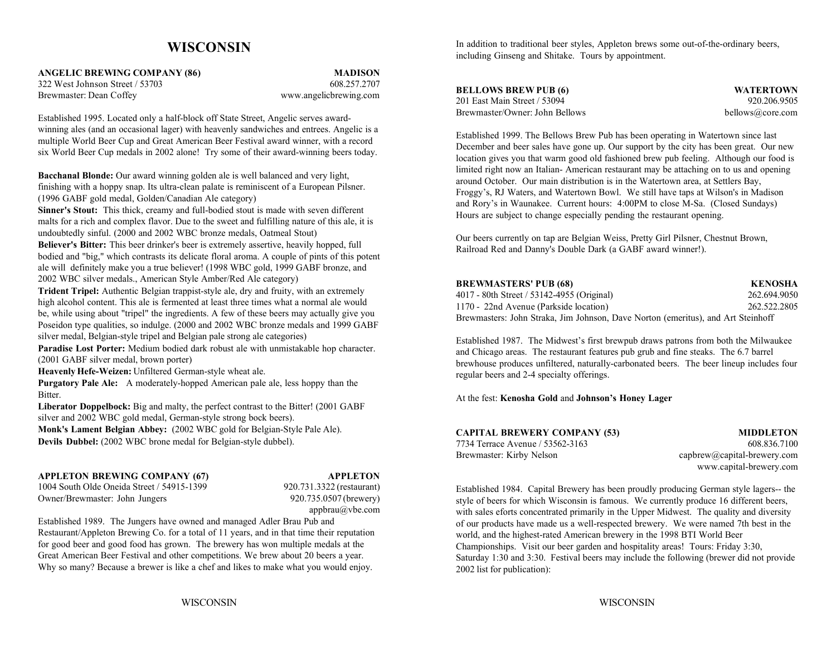### **WISCONSIN**

**ANGELIC BREWING COMPANY (86) MADISON** 322 West Johnson Street / 53703 608.257.2707

Brewmaster: Dean Coffey www.angelicbrewing.com

Established 1995. Located only a half-block off State Street, Angelic serves awardwinning ales (and an occasional lager) with heavenly sandwiches and entrees. Angelic is a multiple World Beer Cup and Great American Beer Festival award winner, with a record six World Beer Cup medals in 2002 alone! Try some of their award-winning beers today.

**Bacchanal Blonde:** Our award winning golden ale is well balanced and very light, finishing with a hoppy snap. Its ultra-clean palate is reminiscent of a European Pilsner. (1996 GABF gold medal, Golden/Canadian Ale category)

**Sinner's Stout:** This thick, creamy and full-bodied stout is made with seven different malts for a rich and complex flavor. Due to the sweet and fulfilling nature of this ale, it is undoubtedly sinful. (2000 and 2002 WBC bronze medals, Oatmeal Stout)

**Believer's Bitter:** This beer drinker's beer is extremely assertive, heavily hopped, full bodied and "big," which contrasts its delicate floral aroma. A couple of pints of this potent ale will definitely make you a true believer! (1998 WBC gold, 1999 GABF bronze, and 2002 WBC silver medals., American Style Amber/Red Ale category)

**Trident Tripel:** Authentic Belgian trappist-style ale, dry and fruity, with an extremely high alcohol content. This ale is fermented at least three times what a normal ale would be, while using about "tripel" the ingredients. A few of these beers may actually give you Poseidon type qualities, so indulge. (2000 and 2002 WBC bronze medals and 1999 GABF silver medal, Belgian-style tripel and Belgian pale strong ale categories)

**Paradise Lost Porter:** Medium bodied dark robust ale with unmistakable hop character. (2001 GABF silver medal, brown porter)

**Heavenly Hefe-Weizen:** Unfiltered German-style wheat ale.

**Purgatory Pale Ale:** A moderately-hopped American pale ale, less hoppy than the **Bitter** 

**Liberator Doppelbock:** Big and malty, the perfect contrast to the Bitter! (2001 GABF silver and 2002 WBC gold medal, German-style strong bock beers).

**Monk's Lament Belgian Abbey:** (2002 WBC gold for Belgian-Style Pale Ale). **Devils Dubbel:** (2002 WBC brone medal for Belgian-style dubbel).

### **APPLETON BREWING COMPANY (67) APPLETON**

1004 South Olde Oneida Street / 54915-1399 920.731.3322 (restaurant) Owner/Brewmaster: John Jungers 920.735.0507 (brewery)

appbrau@vbe.com

Established 1989. The Jungers have owned and managed Adler Brau Pub and Restaurant/Appleton Brewing Co. for a total of 11 years, and in that time their reputation for good beer and good food has grown. The brewery has won multiple medals at the Great American Beer Festival and other competitions. We brew about 20 beers a year. Why so many? Because a brewer is like a chef and likes to make what you would enjoy.

In addition to traditional beer styles, Appleton brews some out-of-the-ordinary beers, including Ginseng and Shitake. Tours by appointment.

| <b>BELLOWS BREW PUB (6)</b>  |  |
|------------------------------|--|
| 201 East Main Street / 53094 |  |

Brewmaster/Owner: John Bellows bellows@core.com

**WATERTOWN** 920.206.9505

Established 1999. The Bellows Brew Pub has been operating in Watertown since last December and beer sales have gone up. Our support by the city has been great. Our new location gives you that warm good old fashioned brew pub feeling. Although our food is limited right now an Italian- American restaurant may be attaching on to us and opening around October. Our main distribution is in the Watertown area, at Settlers Bay, Froggy's, RJ Waters, and Watertown Bowl. We still have taps at Wilson's in Madison and Rory's in Waunakee. Current hours: 4:00PM to close M-Sa. (Closed Sundays) Hours are subject to change especially pending the restaurant opening.

Our beers currently on tap are Belgian Weiss, Pretty Girl Pilsner, Chestnut Brown, Railroad Red and Danny's Double Dark (a GABF award winner!).

| <b>BREWMASTERS' PUB (68)</b>                                                     | <b>KENOSHA</b> |
|----------------------------------------------------------------------------------|----------------|
| 4017 - 80th Street / 53142-4955 (Original)                                       | 262.694.9050   |
| 1170 - 22nd Avenue (Parkside location)                                           | 262.522.2805   |
| Brewmasters: John Straka, Jim Johnson, Dave Norton (emeritus), and Art Steinhoff |                |

Established 1987. The Midwest's first brewpub draws patrons from both the Milwaukee and Chicago areas. The restaurant features pub grub and fine steaks. The 6.7 barrel brewhouse produces unfiltered, naturally-carbonated beers. The beer lineup includes four regular beers and 2-4 specialty offerings.

At the fest: **Kenosha Gold** and **Johnson's Honey Lager**

| <b>CAPITAL BREWERY COMPANY (53)</b> | <b>MIDDLETON</b>              |
|-------------------------------------|-------------------------------|
| 7734 Terrace Avenue / 53562-3163    | 608.836.7100                  |
| Brewmaster: Kirby Nelson            | $capbrew@capital-brewery.com$ |
|                                     | www.capital-brewery.com       |

Established 1984. Capital Brewery has been proudly producing German style lagers-- the style of beers for which Wisconsin is famous. We currently produce 16 different beers, with sales eforts concentrated primarily in the Upper Midwest. The quality and diversity of our products have made us a well-respected brewery. We were named 7th best in the world, and the highest-rated American brewery in the 1998 BTI World Beer Championships. Visit our beer garden and hospitality areas! Tours: Friday 3:30, Saturday 1:30 and 3:30. Festival beers may include the following (brewer did not provide 2002 list for publication):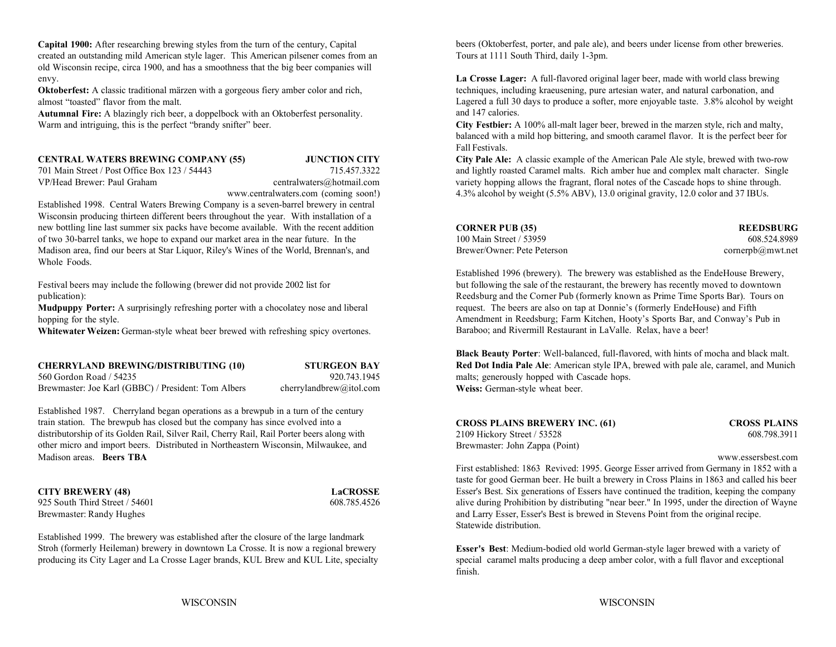**Capital 1900:** After researching brewing styles from the turn of the century, Capital created an outstanding mild American style lager. This American pilsener comes from an old Wisconsin recipe, circa 1900, and has a smoothness that the big beer companies will envy. **La Crosse Lager:** A full-flavored original lager beer, made with world class brewing

**Oktoberfest:** A classic traditional märzen with a gorgeous fiery amber color and rich, almost "toasted" flavor from the malt.

**Autumnal Fire:** A blazingly rich beer, a doppelbock with an Oktoberfest personality. Warm and intriguing, this is the perfect "brandy snifter" beer.

#### **CENTRAL WATERS BREWING COMPANY (55) JUNCTION CITY**

701 Main Street / Post Office Box 123 / 54443

Established 1998. Central Waters Brewing Company is a seven-barrel brewery in central Wisconsin producing thirteen different beers throughout the year. With installation of a new bottling line last summer six packs have become available. With the recent addition of two 30-barrel tanks, we hope to expand our market area in the near future. In the  $100$ Madison area, find our beers at Star Liquor, Riley's Wines of the World, Brennan's, and Bre Whole Foods.

**Mudpuppy Porter:** A surprisingly refreshing porter with a chocolatey nose and liberal hopping for the style.

Whitewater Weizen: German-style wheat beer brewed with refreshing spicy overtones.

| <b>CHERRYLAND BREWING/DISTRIBUTING (10)</b>         | <b>STURGEON BAY</b>     |
|-----------------------------------------------------|-------------------------|
| 560 Gordon Road / 54235                             | 920.743.1945            |
| Brewmaster: Joe Karl (GBBC) / President: Tom Albers | cherrylandbrew@itol.com |

Established 1987. Cherryland began operations as a brewpub in a turn of the century train station. The brewpub has closed but the company has since evolved into a distributorship of its Golden Rail, Silver Rail, Cherry Rail, Rail Porter beers along with other micro and import beers. Distributed in Northeastern Wisconsin, Milwaukee, and Madison areas. **Beers TBA**

**CITY BREWERY (48) LaCROSSE**

Established 1999. The brewery was established after the closure of the large landmark Stroh (formerly Heileman) brewery in downtown La Crosse. It is now a regional brewery producing its City Lager and La Crosse Lager brands, KUL Brew and KUL Lite, specialty beers (Oktoberfest, porter, and pale ale), and beers under license from other breweries. Tours at 1111 South Third, daily 1-3pm.

techniques, including kraeusening, pure artesian water, and natural carbonation, and Lagered a full 30 days to produce a softer, more enjoyable taste. 3.8% alcohol by weight and 147 calories.

**City Festbier:** A 100% all-malt lager beer, brewed in the marzen style, rich and malty, balanced with a mild hop bittering, and smooth caramel flavor. It is the perfect beer for Fall Festivals.

 715.457.3322 and lightly roasted Caramel malts. Rich amber hue and complex malt character. Single VP/Head Brewer: Paul Graham centralwaters@hotmail.com variety hopping allows the fragrant, floral notes of the Cascade hops to shine through. www.centralwaters.com (coming soon!) 4.3% alcohol by weight (5.5% ABV), 13.0 original gravity, 12.0 color and 37 IBUs. **City Pale Ale:** A classic example of the American Pale Ale style, brewed with two-row

| CORNER PUB (35)              | <b>REEDSBURG</b>             |
|------------------------------|------------------------------|
| 100 Main Street / 53959      | 608.524.8989                 |
| Brewer/Owner: Pete Peterson_ | $\text{cornerpb}(a)$ mwt.net |

Festival beers may include the following (brewer did not provide 2002 list for but following the sale of the restaurant, the brewery has recently moved to downtown publication): Reedsburg and the Corner Pub (formerly known as Prime Time Sports Bar). Tours on Established 1996 (brewery). The brewery was established as the EndeHouse Brewery, request. The beers are also on tap at Donnie's (formerly EndeHouse) and Fifth Amendment in Reedsburg; Farm Kitchen, Hooty's Sports Bar, and Conway's Pub in Baraboo; and Rivermill Restaurant in LaValle. Relax, have a beer!

> 20.743.1945 malts; generously hopped with Cascade hops. **Black Beauty Porter**: Well-balanced, full-flavored, with hints of mocha and black malt. **Red Dot India Pale Ale**: American style IPA, brewed with pale ale, caramel, and Munich **Weiss:** German-style wheat beer.

| <b>CROSS PLAINS BREWERY INC. (61)</b> | <b>CROSS PLAINS</b> |
|---------------------------------------|---------------------|
| 2109 Hickory Street / 53528           | 608.798.3911        |
| Brewmaster: John Zappa (Point)        |                     |

www.essersbest.com

925 South Third Street / 54601 608.785.4526 608.785.4526 alive during Prohibition by distributing "near beer." In 1995, under the direction of Wayne Brewmaster: Randy Hughes and Larry Esser, Esser's Best is brewed in Stevens Point from the original recipe. First established: 1863 Revived: 1995. George Esser arrived from Germany in 1852 with a taste for good German beer. He built a brewery in Cross Plains in 1863 and called his beer Esser's Best. Six generations of Essers have continued the tradition, keeping the company Statewide distribution.

> **Esser's Best**: Medium-bodied old world German-style lager brewed with a variety of special caramel malts producing a deep amber color, with a full flavor and exceptional finish.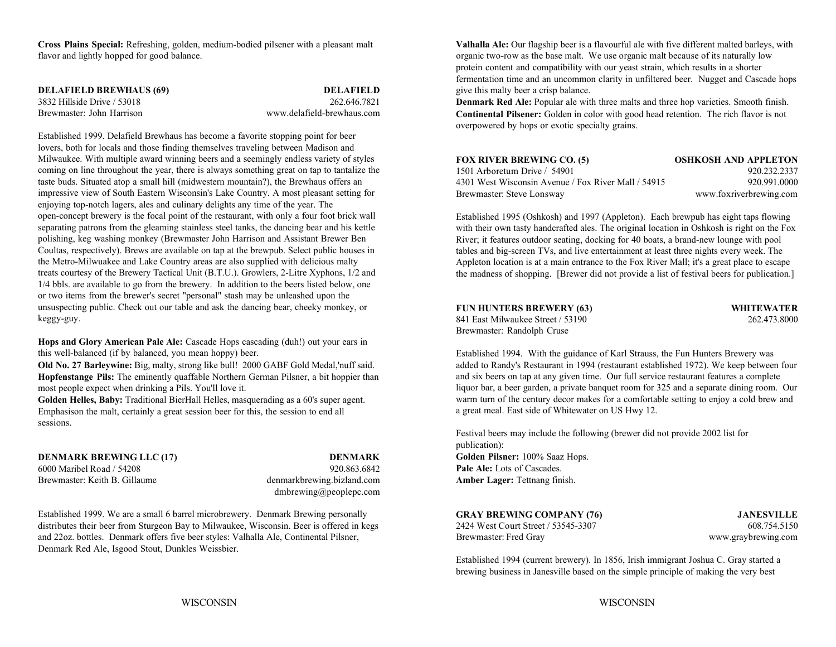**Cross Plains Special:** Refreshing, golden, medium-bodied pilsener with a pleasant malt **Valhalla Ale:** Our flagship beer is a flavourful ale with five different malted barleys, with flavor and lightly hopped for good balance.  $\blacksquare$   $\blacksquare$   $\blacksquare$   $\blacksquare$   $\blacksquare$   $\blacksquare$   $\blacksquare$   $\blacksquare$   $\blacksquare$   $\blacksquare$   $\blacksquare$   $\blacksquare$   $\blacksquare$   $\blacksquare$   $\blacksquare$   $\blacksquare$   $\blacksquare$   $\blacksquare$   $\blacksquare$   $\blacksquare$   $\blacksquare$   $\blacksquare$   $\blacksquare$   $\blacksquare$   $\blacksquare$   $\bl$ 

| <b>DELAFIELD BREWHAUS (69)</b> | <b>DELAFIELD</b>           |
|--------------------------------|----------------------------|
| 3832 Hillside Drive / 53018    | 262.646.7821               |
| Brewmaster: John Harrison      | www.delafield-brewhaus.com |

Established 1999. Delafield Brewhaus has become a favorite stopping point for beer lovers, both for locals and those finding themselves traveling between Madison and Milwaukee. With multiple award winning beers and a seemingly endless variety of styles coming on line throughout the year, there is always something great on tap to tantalize the taste buds. Situated atop a small hill (midwestern mountain?), the Brewhaus offers an impressive view of South Eastern Wisconsin's Lake Country. A most pleasant setting for enjoying top-notch lagers, ales and culinary delights any time of the year. The open-concept brewery is the focal point of the restaurant, with only a four foot brick wall separating patrons from the gleaming stainless steel tanks, the dancing bear and his kettle polishing, keg washing monkey (Brewmaster John Harrison and Assistant Brewer Ben Coultas, respectively). Brews are available on tap at the brewpub. Select public houses in the Metro-Milwuakee and Lake Country areas are also supplied with delicious malty treats courtesy of the Brewery Tactical Unit (B.T.U.). Growlers, 2-Litre Xyphons, 1/2 and 1/4 bbls. are available to go from the brewery. In addition to the beers listed below, one or two items from the brewer's secret "personal" stash may be unleashed upon the unsuspecting public. Check out our table and ask the dancing bear, cheeky monkey, or keggy-guy.

**Hops and Glory American Pale Ale:** Cascade Hops cascading (duh!) out your ears in this well-balanced (if by balanced, you mean hoppy) beer.

**Hopfenstange Pils:** The eminently quaffable Northern German Pilsner, a bit hoppier than most people expect when drinking a Pils. You'll love it.

**Golden Helles, Baby:** Traditional BierHall Helles, masquerading as a 60's super agent. Emphasison the malt, certainly a great session beer for this, the session to end all sessions.

**DENMARK BREWING LLC (17) DENMARK** 6000 Maribel Road / 54208 920.863.6842Brewmaster: Keith B. Gillaume **denmarkbrewing.bizland.com Amber Lager:** Tettnang finish.

dmbrewing@peoplepc.com

Established 1999. We are a small 6 barrel microbrewery. Denmark Brewing personally distributes their beer from Sturgeon Bay to Milwaukee, Wisconsin. Beer is offered in kegs 2424 West Court Street / 53545-3307 608.754.5150 and 22oz. bottles. Denmark offers five beer styles: Valhalla Ale, Continental Pilsner, Brewmaster: Fred Gray www.graybrewing.com Denmark Red Ale, Isgood Stout, Dunkles Weissbier.

give this malty beer a crisp balance. protein content and compatibility with our yeast strain, which results in a shorter fermentation time and an uncommon clarity in unfiltered beer. Nugget and Cascade hops

**Denmark Red Ale:** Popular ale with three malts and three hop varieties. Smooth finish. **Continental Pilsener:** Golden in color with good head retention. The rich flavor is not overpowered by hops or exotic specialty grains.

| <b>FOX RIVER BREWING CO. (5)</b>                    | <b>OSHKOSH AND APPLETON</b> |
|-----------------------------------------------------|-----------------------------|
| 1501 Arboretum Drive / 54901                        | 920.232.2337                |
| 4301 West Wisconsin Avenue / Fox River Mall / 54915 | 920.991.0000                |
| Brewmaster: Steve Lonsway                           | www.foxriverbrewing.com     |

Established 1995 (Oshkosh) and 1997 (Appleton). Each brewpub has eight taps flowing with their own tasty handcrafted ales. The original location in Oshkosh is right on the Fox River; it features outdoor seating, docking for 40 boats, a brand-new lounge with pool tables and big-screen TVs, and live entertainment at least three nights every week. The Appleton location is at a main entrance to the Fox River Mall; it's a great place to escape the madness of shopping. [Brewer did not provide a list of festival beers for publication.]

| <b>FUN HUNTERS BREWERY (63)</b>   |
|-----------------------------------|
| 841 East Milwaukee Street / 53190 |
| Brewmaster: Randolph Cruse        |

 $WHITEWATER$ 262.473.8000

Old No. 27 Barleywine: Big, malty, strong like bull! 2000 GABF Gold Medal,'nuff said. and added to Randy's Restaurant in 1994 (restaurant established 1972). We keep between four Established 1994. With the guidance of Karl Strauss, the Fun Hunters Brewery was and six beers on tap at any given time. Our full service restaurant features a complete liquor bar, a beer garden, a private banquet room for 325 and a separate dining room. Our warm turn of the century decor makes for a comfortable setting to enjoy a cold brew and a great meal. East side of Whitewater on US Hwy 12.

> Festival beers may include the following (brewer did not provide 2002 list for publication): **Golden Pilsner:** 100% Saaz Hops. **Pale Ale:** Lots of Cascades.

### **GRAY BREWING COMPANY (76) JANESVILLE**

Established 1994 (current brewery). In 1856, Irish immigrant Joshua C. Gray started a brewing business in Janesville based on the simple principle of making the very best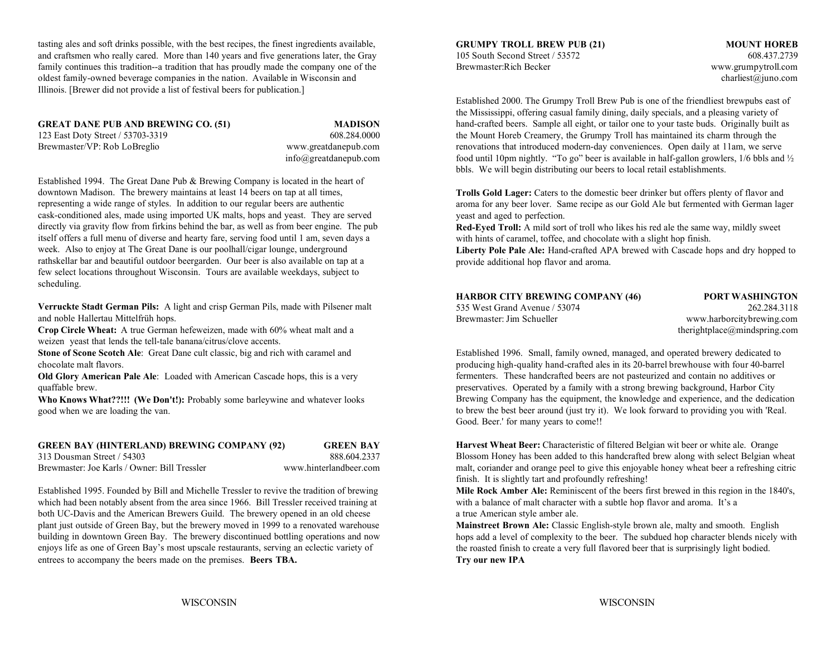tasting ales and soft drinks possible, with the best recipes, the finest ingredients available, and craftsmen who really cared. More than 140 years and five generations later, the Gray 105 South Second Street / 53572 608.437.2739 608.437.2739 family continues this tradition--a tradition that has proudly made the company one of the Brewmaster:Rich Becker www.grumpytroll.com oldest family-owned beverage companies in the nation. Available in Wisconsin and charliest@juno.com charliest@juno.com Illinois. [Brewer did not provide a list of festival beers for publication.]

**GREAT DANE PUB AND BREWING CO. (51) MADISON**

Established 1994. The Great Dane Pub & Brewing Company is located in the heart of downtown Madison. The brewery maintains at least 14 beers on tap at all times, representing a wide range of styles. In addition to our regular beers are authentic cask-conditioned ales, made using imported UK malts, hops and yeast. They are served directly via gravity flow from firkins behind the bar, as well as from beer engine. The pub itself offers a full menu of diverse and hearty fare, serving food until 1 am, seven days a week. Also to enjoy at The Great Dane is our poolhall/cigar lounge, underground rathskellar bar and beautiful outdoor beergarden. Our beer is also available on tap at a few select locations throughout Wisconsin. Tours are available weekdays, subject to scheduling.

**Verruckte Stadt German Pils:** A light and crisp German Pils, made with Pilsener malt and noble Hallertau Mittelfrüh hops.

**Crop Circle Wheat:** A true German hefeweizen, made with 60% wheat malt and a weizen yeast that lends the tell-tale banana/citrus/clove accents.

**Stone of Scone Scotch Ale**: Great Dane cult classic, big and rich with caramel and Established 1996. Small, family owned, managed, and operated brewery dedicated to

**Old Glory American Pale Ale**: Loaded with American Cascade hops, this is a very quaffable brew.

**Who Knows What??!!! (We Don't!):** Probably some barleywine and whatever looks good when we are loading the van.

### **GREEN BAY (HINTERLAND) BREWING COMPANY (92) GREEN BAY**

313 Dousman Street / 54303 888.604.2337

Brewmaster: Joe Karls / Owner: Bill Tressler www.hinterlandbeer.com

which had been notably absent from the area since 1966. Bill Tressler received training at with a balance of malt character with a subtle hop flavor and aroma. It's a both UC-Davis and the American Brewers Guild. The brewery opened in an old cheese a true American style amber ale. plant just outside of Green Bay, but the brewery moved in 1999 to a renovated warehouse building in downtown Green Bay. The brewery discontinued bottling operations and now enjoys life as one of Green Bay's most upscale restaurants, serving an eclectic variety of entrees to accompany the beers made on the premises. **Beers TBA.**

**GRUMPY TROLL BREW PUB (21) MOUNT HOREB**

123 East Doty Street / 53703-3319 608.284.0000 the Mount Horeb Creamery, the Grumpy Troll has maintained its charm through the Brewmaster/VP: Rob LoBreglio www.greatdanepub.com renovations that introduced modern-day conveniences. Open daily at 11am, we serve info@greatdanepub.com food until 10pm nightly. "To go" beer is available in half-gallon growlers, 1/6 bbls and ½ Established 2000. The Grumpy Troll Brew Pub is one of the friendliest brewpubs east of the Mississippi, offering casual family dining, daily specials, and a pleasing variety of hand-crafted beers. Sample all eight, or tailor one to your taste buds. Originally built as bbls. We will begin distributing our beers to local retail establishments.

> **Trolls Gold Lager:** Caters to the domestic beer drinker but offers plenty of flavor and aroma for any beer lover. Same recipe as our Gold Ale but fermented with German lager yeast and aged to perfection.

**Red-Eyed Troll:** A mild sort of troll who likes his red ale the same way, mildly sweet with hints of caramel, toffee, and chocolate with a slight hop finish.

**Liberty Pole Pale Ale:** Hand-crafted APA brewed with Cascade hops and dry hopped to provide additional hop flavor and aroma.

| <b>HARBOR CITY BREWING COMPANY (46)</b> | <b>PORT WASHINGTON</b> |
|-----------------------------------------|------------------------|
| 535 West Grand Avenue / 53074           | 262.284.3118           |

Brewmaster: Jim Schueller www.harborcitybrewing.com

**HARBOR CITY BREWING COMPANY (46) PORT WASHINGTON** therightplace@mindspring.com

chocolate malt flavors. producing high-quality hand-crafted ales in its 20-barrel brewhouse with four 40-barrel fermenters. These handcrafted beers are not pasteurized and contain no additives or preservatives. Operated by a family with a strong brewing background, Harbor City Brewing Company has the equipment, the knowledge and experience, and the dedication to brew the best beer around (just try it). We look forward to providing you with 'Real. Good. Beer.' for many years to come!!

> **Harvest Wheat Beer:** Characteristic of filtered Belgian wit beer or white ale. Orange Blossom Honey has been added to this handcrafted brew along with select Belgian wheat malt, coriander and orange peel to give this enjoyable honey wheat beer a refreshing citric finish. It is slightly tart and profoundly refreshing!

Established 1995. Founded by Bill and Michelle Tressler to revive the tradition of brewing **Mile Rock Amber Ale:** Reminiscent of the beers first brewed in this region in the 1840's,

**Mainstreet Brown Ale:** Classic English-style brown ale, malty and smooth. English hops add a level of complexity to the beer. The subdued hop character blends nicely with the roasted finish to create a very full flavored beer that is surprisingly light bodied. **Try our new IPA**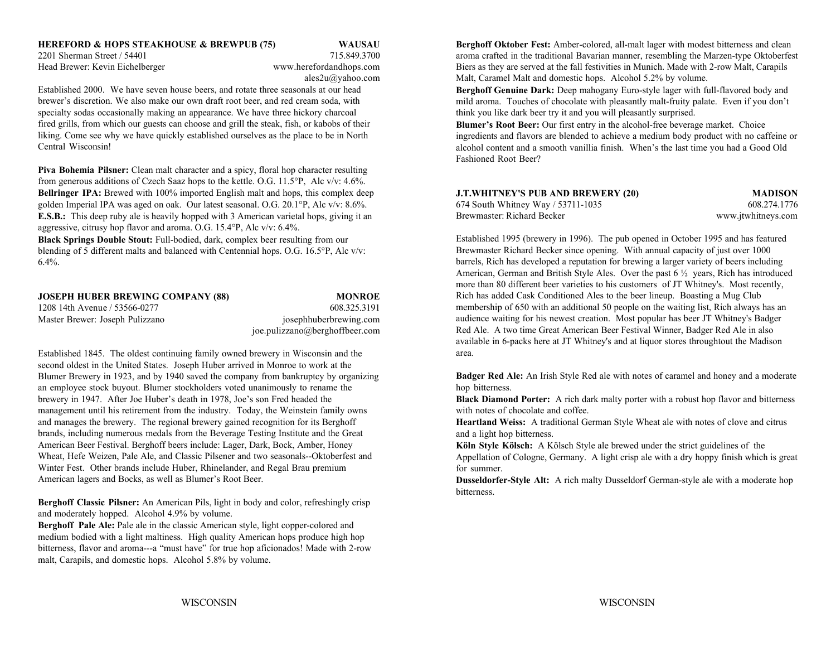Established 2000. We have seven house beers, and rotate three seasonals at our head brewer's discretion. We also make our own draft root beer, and red cream soda, with specialty sodas occasionally making an appearance. We have three hickory charcoal fired grills, from which our guests can choose and grill the steak, fish, or kabobs of their liking. Come see why we have quickly established ourselves as the place to be in North Central Wisconsin!

**Piva Bohemia Pilsner:** Clean malt character and a spicy, floral hop character resulting from generous additions of Czech Saaz hops to the kettle. O.G. 11.5°P, Alc v/v: 4.6%. **Bellringer IPA:** Brewed with 100% imported English malt and hops, this complex deep golden Imperial IPA was aged on oak. Our latest seasonal. O.G.  $20.1^{\circ}$ P, Alc v/v:  $8.6\%$ . **E.S.B.:** This deep ruby ale is heavily hopped with 3 American varietal hops, giving it an aggressive, citrusy hop flavor and aroma. O.G. 15.4°P, Alc v/v: 6.4%.

**Black Springs Double Stout:** Full-bodied, dark, complex beer resulting from our blending of 5 different malts and balanced with Centennial hops. O.G. 16.5°P, Alc v/v: 6.4%.

| <b>JOSEPH HUBER BREWING COMPANY (88)</b> | <b>MONROE</b>                  |
|------------------------------------------|--------------------------------|
| 1208 14th Avenue / 53566-0277            | 608.325.3191                   |
| Master Brewer: Joseph Pulizzano          | josephhuberbrewing.com         |
|                                          | ioe.pulizzano@berghoffbeer.com |

Established 1845. The oldest continuing family owned brewery in Wisconsin and the second oldest in the United States. Joseph Huber arrived in Monroe to work at the Blumer Brewery in 1923, and by 1940 saved the company from bankruptcy by organizing an employee stock buyout. Blumer stockholders voted unanimously to rename the brewery in 1947. After Joe Huber's death in 1978, Joe's son Fred headed the **Black Diamond Porter:** A rich dark malty porter with a robust hop flavor and bitterness management until his retirement from the industry. Today, the Weinstein family owns with notes of chocolate and coffee. and manages the brewery. The regional brewery gained recognition for its Berghoff brands, including numerous medals from the Beverage Testing Institute and the Great American Beer Festival. Berghoff beers include: Lager, Dark, Bock, Amber, Honey Wheat, Hefe Weizen, Pale Ale, and Classic Pilsener and two seasonals--Oktoberfest and Winter Fest. Other brands include Huber, Rhinelander, and Regal Brau premium American lagers and Bocks, as well as Blumer's Root Beer.

**Berghoff Classic Pilsner:** An American Pils, light in body and color, refreshingly crisp and moderately hopped. Alcohol 4.9% by volume.

**Berghoff Pale Ale:** Pale ale in the classic American style, light copper-colored and medium bodied with a light maltiness. High quality American hops produce high hop bitterness, flavor and aroma---a "must have" for true hop aficionados! Made with 2-row malt, Carapils, and domestic hops. Alcohol 5.8% by volume.

**HEREFORD & HOPS STEAKHOUSE & BREWPUB (75) WAUSAU Berghoff Oktober Fest: Amber-colored, all-malt lager with modest bitterness and clean** 2201 Sherman Street / 54401 715.849.3700 aroma crafted in the traditional Bavarian manner, resembling the Marzen-type Oktoberfest Head Brewer: Kevin Eichelberger www.herefordandhops.com Biers as they are served at the fall festivities in Munich. Made with 2-row Malt, Carapils ales2u@yahoo.com Malt, Caramel Malt and domestic hops. Alcohol 5.2% by volume.

**Berghoff Genuine Dark:** Deep mahogany Euro-style lager with full-flavored body and mild aroma. Touches of chocolate with pleasantly malt-fruity palate. Even if you don't think you like dark beer try it and you will pleasantly surprised.

**Blumer's Root Beer:** Our first entry in the alcohol-free beverage market. Choice ingredients and flavors are blended to achieve a medium body product with no caffeine or alcohol content and a smooth vanillia finish. When's the last time you had a Good Old Fashioned Root Beer?

| J.T.WHITNEY'S PUB AND BREWERY (20) | MADISON            |
|------------------------------------|--------------------|
| 674 South Whitney Way / 53711-1035 | 608.274.1776       |
| Brewmaster: Richard Becker         | www.jtwhitneys.com |

Established 1995 (brewery in 1996). The pub opened in October 1995 and has featured Brewmaster Richard Becker since opening. With annual capacity of just over 1000 barrels, Rich has developed a reputation for brewing a larger variety of beers including American, German and British Style Ales. Over the past 6 ½ years, Rich has introduced more than 80 different beer varieties to his customers of JT Whitney's. Most recently, Rich has added Cask Conditioned Ales to the beer lineup. Boasting a Mug Club membership of 650 with an additional 50 people on the waiting list, Rich always has an audience waiting for his newest creation. Most popular has beer JT Whitney's Badger Red Ale. A two time Great American Beer Festival Winner, Badger Red Ale in also available in 6-packs here at JT Whitney's and at liquor stores throughtout the Madison area.

**Badger Red Ale:** An Irish Style Red ale with notes of caramel and honey and a moderate hop bitterness.

**Heartland Weiss:** A traditional German Style Wheat ale with notes of clove and citrus and a light hop bitterness.

**Köln Style Kölsch:** A Kölsch Style ale brewed under the strict guidelines of the Appellation of Cologne, Germany. A light crisp ale with a dry hoppy finish which is great for summer.

**Dusseldorfer-Style Alt:** A rich malty Dusseldorf German-style ale with a moderate hop bitterness.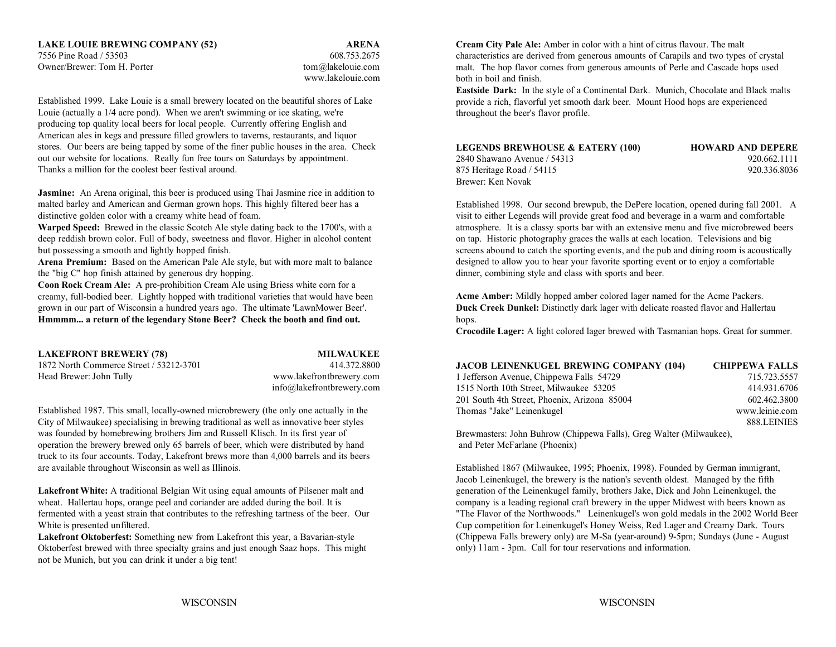7556 Pine Road / 53503 608.753.2675Owner/Brewer: Tom H. Porter tom and the tom alakelouie.com

www.lakelouie.com

Established 1999. Lake Louie is a small brewery located on the beautiful shores of Lake Louie (actually a 1/4 acre pond). When we aren't swimming or ice skating, we're producing top quality local beers for local people. Currently offering English and American ales in kegs and pressure filled growlers to taverns, restaurants, and liquor stores. Our beers are being tapped by some of the finer public houses in the area. Check out our website for locations. Really fun free tours on Saturdays by appointment. Thanks a million for the coolest beer festival around.

**Jasmine:** An Arena original, this beer is produced using Thai Jasmine rice in addition to malted barley and American and German grown hops. This highly filtered beer has a distinctive golden color with a creamy white head of foam.

deep reddish brown color. Full of body, sweetness and flavor. Higher in alcohol content on tap. Historic photography graces the walls at each location. Televisions and big

**Arena Premium:** Based on the American Pale Ale style, but with more malt to balance the "big C" hop finish attained by generous dry hopping.

**Coon Rock Cream Ale:** A pre-prohibition Cream Ale using Briess white corn for a creamy, full-bodied beer. Lightly hopped with traditional varieties that would have been grown in our part of Wisconsin a hundred years ago. The ultimate 'LawnMower Beer'. **Duck Creek Dunkel:** Distinctly dark lager with delicate roasted flavor and Hallertau **Hmmmm... a return of the legendary Stone Beer? Check the booth and find out.**

**LAKEFRONT BREWERY (78) MILWAUKEE** 1872 North Commerce Street / 53212-3701 414.372.8800Head Brewer: John Tully www.lakefrontbrewery.com

info@lakefrontbrewery.com

Established 1987. This small, locally-owned microbrewery (the only one actually in the City of Milwaukee) specialising in brewing traditional as well as innovative beer styles was founded by homebrewing brothers Jim and Russell Klisch. In its first year of operation the brewery brewed only 65 barrels of beer, which were distributed by hand truck to its four accounts. Today, Lakefront brews more than 4,000 barrels and its beers are available throughout Wisconsin as well as Illinois.

Lakefront White: A traditional Belgian Wit using equal amounts of Pilsener malt and generation of the Leinenkugel family, brothers Jake, Dick and John Leinenkugel, the wheat. Hallertau hops, orange peel and coriander are added during the boil. It is company is a leading regional craft brewery in the upper Midwest with beers known as White is presented unfiltered. Cup competition for Leinenkugel's Honey Weiss, Red Lager and Creamy Dark. Tours

**Lakefront Oktoberfest:** Something new from Lakefront this year, a Bavarian-style Oktoberfest brewed with three specialty grains and just enough Saaz hops. This might not be Munich, but you can drink it under a big tent!

**LAKE LOUIE BREWING COMPANY (52) ARENA Cream City Pale Ale:** Amber in color with a hint of citrus flavour. The malt characteristics are derived from generous amounts of Carapils and two types of crystal malt. The hop flavor comes from generous amounts of Perle and Cascade hops used both in boil and finish.

**Eastside Dark:** In the style of a Continental Dark. Munich, Chocolate and Black malts provide a rich, flavorful yet smooth dark beer. Mount Hood hops are experienced throughout the beer's flavor profile.

| <b>LEGENDS BREWHOUSE &amp; EATERY (100)</b> | <b>HOWARD AND DEPERE</b> |
|---------------------------------------------|--------------------------|
| 2840 Shawano Avenue / 54313                 | 920.662.1111             |
| 875 Heritage Road / 54115                   | 920.336.8036             |
| Brewer: Ken Novak                           |                          |

**Warped Speed:** Brewed in the classic Scotch Ale style dating back to the 1700's, with a atmosphere. It is a classy sports bar with an extensive menu and five microbrewed beers but possessing a smooth and lightly hopped finish. Screens abound to catch the sporting events, and the pub and dining room is acoustically Established 1998. Our second brewpub, the DePere location, opened during fall 2001. A visit to either Legends will provide great food and beverage in a warm and comfortable designed to allow you to hear your favorite sporting event or to enjoy a comfortable dinner, combining style and class with sports and beer.

> **Acme Amber:** Mildly hopped amber colored lager named for the Acme Packers. hops.

**Crocodile Lager:** A light colored lager brewed with Tasmanian hops. Great for summer.

| <b>JACOB LEINENKUGEL BREWING COMPANY (104)</b> | <b>CHIPPEWA FALLS</b> |
|------------------------------------------------|-----------------------|
| 1 Jefferson Avenue, Chippewa Falls 54729       | 715.723.5557          |
| 1515 North 10th Street, Milwaukee 53205        | 414.931.6706          |
| 201 South 4th Street, Phoenix, Arizona 85004   | 602.462.3800          |
| Thomas "Jake" Leinenkugel                      | www.leinie.com        |
|                                                | 888.LEINIES           |

Brewmasters: John Buhrow (Chippewa Falls), Greg Walter (Milwaukee), and Peter McFarlane (Phoenix)

fermented with a yeast strain that contributes to the refreshing tartness of the beer. Our "The Flavor of the Northwoods." Leinenkugel's won gold medals in the 2002 World Beer Established 1867 (Milwaukee, 1995; Phoenix, 1998). Founded by German immigrant, Jacob Leinenkugel, the brewery is the nation's seventh oldest. Managed by the fifth (Chippewa Falls brewery only) are M-Sa (year-around) 9-5pm; Sundays (June - August only) 11am - 3pm. Call for tour reservations and information.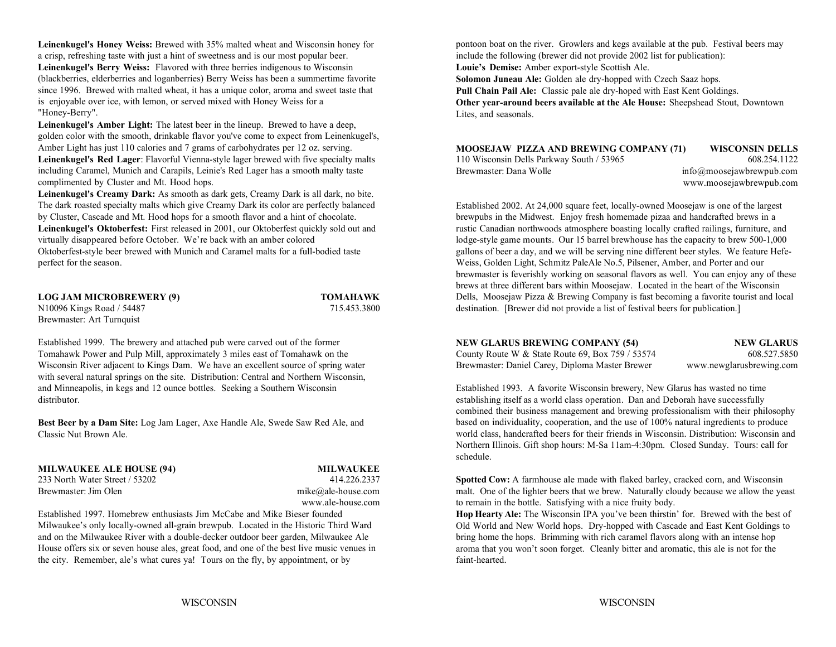**Leinenkugel's Honey Weiss:** Brewed with 35% malted wheat and Wisconsin honey for a crisp, refreshing taste with just a hint of sweetness and is our most popular beer. include the following (brewer did not provide 2002 list for publication): **Leinenkugel's Berry Weiss:** Flavored with three berries indigenous to Wisconsin **Louie's Demise:** Amber export-style Scottish Ale. (blackberries, elderberries and loganberries) Berry Weiss has been a summertime favorite since 1996. Brewed with malted wheat, it has a unique color, aroma and sweet taste that is enjoyable over ice, with lemon, or served mixed with Honey Weiss for a "Honey-Berry".

**Leinenkugel's Amber Light:** The latest beer in the lineup. Brewed to have a deep, golden color with the smooth, drinkable flavor you've come to expect from Leinenkugel's, Amber Light has just 110 calories and 7 grams of carbohydrates per 12 oz. serving. **Leinenkugel's Red Lager**: Flavorful Vienna-style lager brewed with five specialty malts including Caramel, Munich and Carapils, Leinie's Red Lager has a smooth malty taste complimented by Cluster and Mt. Hood hops.

**Leinenkugel's Creamy Dark:** As smooth as dark gets, Creamy Dark is all dark, no bite. The dark roasted specialty malts which give Creamy Dark its color are perfectly balanced by Cluster, Cascade and Mt. Hood hops for a smooth flavor and a hint of chocolate. Leinenkugel's Oktoberfest: First released in 2001, our Oktoberfest quickly sold out and rustic Canadian northwoods atmosphere boasting locally crafted railings, furniture, and virtually disappeared before October. We're back with an amber colored lodge-style game mounts. Our 15 barrel brewhouse has the capacity to brew 500-1,000 Oktoberfest-style beer brewed with Munich and Caramel malts for a full-bodied taste gallons of beer a day, and we will be serving nine different beer styles. We feature Hefe-

**LOG JAM MICROBREWERY (9) TOMAHAWK** Brewmaster: Art Turnquist

Established 1999. The brewery and attached pub were carved out of the former Tomahawk Power and Pulp Mill, approximately 3 miles east of Tomahawk on the County Route W & State Route 69, Box 759 / 53574 608.527.5850 Wisconsin River adjacent to Kings Dam. We have an excellent source of spring water Brewmaster: Daniel Carey, Diploma Master Brewer www.newglarusbrewing.com with several natural springs on the site. Distribution: Central and Northern Wisconsin, and Minneapolis, in kegs and 12 ounce bottles. Seeking a Southern Wisconsin Established 1993. A favorite Wisconsin brewery, New Glarus has wasted no time distributor.

**Best Beer by a Dam Site:** Log Jam Lager, Axe Handle Ale, Swede Saw Red Ale, and Classic Nut Brown Ale.

**MILWAUKEE ALE HOUSE (94) MILWAUKEE** 233 North Water Street / 53202 414.226.2337

Established 1997. Homebrew enthusiasts Jim McCabe and Mike Bieser founded Milwaukee's only locally-owned all-grain brewpub. Located in the Historic Third Ward and on the Milwaukee River with a double-decker outdoor beer garden, Milwaukee Ale House offers six or seven house ales, great food, and one of the best live music venues in the city. Remember, ale's what cures ya! Tours on the fly, by appointment, or by

pontoon boat on the river. Growlers and kegs available at the pub. Festival beers may

**Solomon Juneau Ale:** Golden ale dry-hopped with Czech Saaz hops. **Pull Chain Pail Ale:** Classic pale ale dry-hoped with East Kent Goldings. **Other year-around beers available at the Ale House:** Sheepshead Stout, Downtown Lites, and seasonals.

| MOOSEJAW PIZZA AND BREWING COMPANY (71)   | <b>WISCONSIN DELLS</b>      |
|-------------------------------------------|-----------------------------|
| 110 Wisconsin Dells Parkway South / 53965 | 608.254.1122                |
| Brewmaster: Dana Wolle                    | $info@$ moosejawbrewpub.com |
|                                           | www.moosejawbrewpub.com     |

perfect for the season. Weiss, Golden Light, Schmitz PaleAle No.5, Pilsener, Amber, and Porter and our N10096 Kings Road / 54487 715.453.3800 destination. [Brewer did not provide a list of festival beers for publication.] Established 2002. At 24,000 square feet, locally-owned Moosejaw is one of the largest brewpubs in the Midwest. Enjoy fresh homemade pizaa and handcrafted brews in a brewmaster is feverishly working on seasonal flavors as well. You can enjoy any of these brews at three different bars within Moosejaw. Located in the heart of the Wisconsin Dells, Moosejaw Pizza & Brewing Company is fast becoming a favorite tourist and local

| <b>NEW GLARUS BREWING COMPANY (54)</b>               | <b>NEW GLARUS</b>        |
|------------------------------------------------------|--------------------------|
| County Route W & State Route 69, Box $759/53574$     | 608.527.5850             |
| <b>Rewmaster: Daniel Carey Dinloma Master Brewer</b> | www.newglarushrewing.com |

 establishing itself as a world class operation. Dan and Deborah have successfully combined their business management and brewing professionalism with their philosophy based on individuality, cooperation, and the use of 100% natural ingredients to produce world class, handcrafted beers for their friends in Wisconsin. Distribution: Wisconsin and Northern Illinois. Gift shop hours: M-Sa 11am-4:30pm. Closed Sunday. Tours: call for schedule.

 **Spotted Cow:** A farmhouse ale made with flaked barley, cracked corn, and Wisconsin Brewmaster: Jim Olen mike@ale-house.com malt. One of the lighter beers that we brew. Naturally cloudy because we allow the yeast www.ale-house.com to remain in the bottle. Satisfying with a nice fruity body.

> **Hop Hearty Ale:** The Wisconsin IPA you've been thirstin' for. Brewed with the best of Old World and New World hops. Dry-hopped with Cascade and East Kent Goldings to bring home the hops. Brimming with rich caramel flavors along with an intense hop aroma that you won't soon forget. Cleanly bitter and aromatic, this ale is not for the faint-hearted.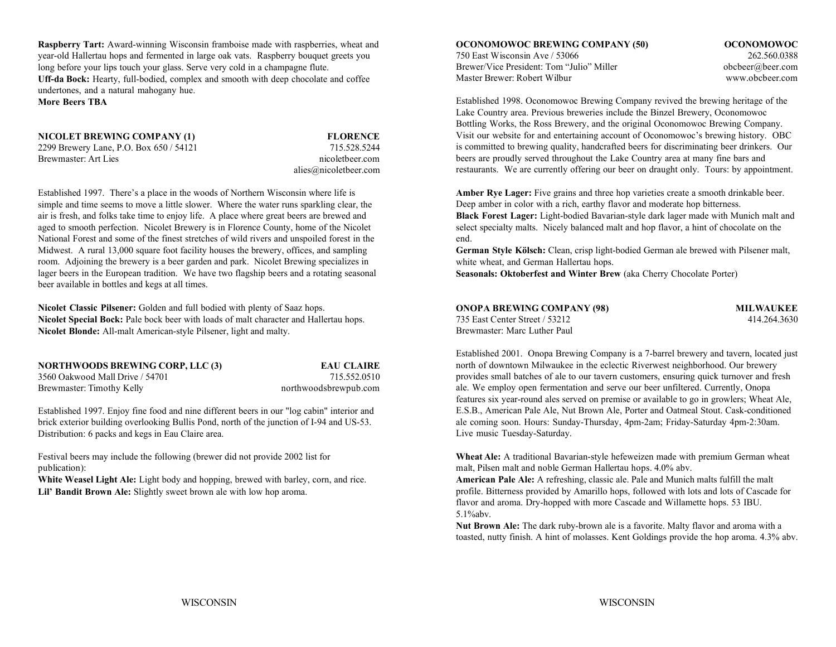**Raspberry Tart:** Award-winning Wisconsin framboise made with raspberries, wheat and **OCONOMOWOC BREWING COMPANY (50) OCONOMOWOC** year-old Hallertau hops and fermented in large oak vats. Raspberry bouquet greets you long before your lips touch your glass. Serve very cold in a champagne flute. **Uff-da Bock:** Hearty, full-bodied, complex and smooth with deep chocolate and coffee undertones, and a natural mahogany hue. **More Beers TBA**

**NICOLET BREWING COMPANY (1) FLORENCE** 2299 Brewery Lane, P.O. Box 650 / 54121 715.528.5244 Brewmaster: Art Lies nicoletbeer.com nicoletbeer.com

alies@nicoletbeer.com

Established 1997. There's a place in the woods of Northern Wisconsin where life is simple and time seems to move a little slower. Where the water runs sparkling clear, the aged to smooth perfection. Nicolet Brewery is in Florence County, home of the Nicolet select specialty malts. Nicely balanced malt and hop flavor, a hint of chocolate on the National Forest and some of the finest stretches of wild rivers and unspoiled forest in the end. Midwest. A rural 13,000 square foot facility houses the brewery, offices, and sampling room. Adjoining the brewery is a beer garden and park. Nicolet Brewing specializes in lager beers in the European tradition. We have two flagship beers and a rotating seasonal beer available in bottles and kegs at all times.

**Nicolet Classic Pilsener:** Golden and full bodied with plenty of Saaz hops. **Nicolet Blonde:** All-malt American-style Pilsener, light and malty.

| <b>NORTHWOODS BREWING CORP, LLC (3)</b> | <b>EAU CLAIRE</b>     |
|-----------------------------------------|-----------------------|
| 3560 Oakwood Mall Drive / 54701         | 715.552.0510          |
| Brewmaster: Timothy Kelly               | northwoodsbrewpub.com |

Established 1997. Enjoy fine food and nine different beers in our "log cabin" interior and brick exterior building overlooking Bullis Pond, north of the junction of I-94 and US-53. Distribution: 6 packs and kegs in Eau Claire area.

publication): malt, Pilsen malt and noble German Hallertau hops. 4.0% abv.

White Weasel Light Ale: Light body and hopping, brewed with barley, corn, and rice. **American Pale Ale:** A refreshing, classic ale. Pale and Munich malts fulfill the malt Lil' Bandit Brown Ale: Slightly sweet brown ale with low hop aroma.

750 East Wisconsin Ave / 53066 262.560.0388Brewer/Vice President: Tom "Julio" Miller obcbeer@beer.com Master Brewer: Robert Wilbur

www.obcbeer.com

Established 1998. Oconomowoc Brewing Company revived the brewing heritage of the Lake Country area. Previous breweries include the Binzel Brewery, Oconomowoc Bottling Works, the Ross Brewery, and the original Oconomowoc Brewing Company. Visit our website for and entertaining account of Oconomowoc's brewing history. OBC is committed to brewing quality, handcrafted beers for discriminating beer drinkers. Our beers are proudly served throughout the Lake Country area at many fine bars and restaurants. We are currently offering our beer on draught only. Tours: by appointment.

air is fresh, and folks take time to enjoy life. A place where great beers are brewed and **Black Forest Lager:** Light-bodied Bavarian-style dark lager made with Munich malt and Amber Rye Lager: Five grains and three hop varieties create a smooth drinkable beer. Deep amber in color with a rich, earthy flavor and moderate hop bitterness.

> **German Style Kölsch:** Clean, crisp light-bodied German ale brewed with Pilsener malt, white wheat, and German Hallertau hops.

**Seasonals: Oktoberfest and Winter Brew** (aka Cherry Chocolate Porter)

| Nicolet Classic Pilsener: Golden and full bodied with plenty of Saaz hops.                   | <b>ONOPA BREWING COMPANY (98)</b> | <b>MILWAUKEE</b> |
|----------------------------------------------------------------------------------------------|-----------------------------------|------------------|
| <b>Nicolet Special Bock:</b> Pale bock beer with loads of malt character and Hallertau hops. | 735 East Center Street / 53212    | 414.264.3630     |
| Nicolet Blonde: All-malt American-style Pilsener, light and malty.                           | Brewmaster: Marc Luther Paul      |                  |

Established 2001. Onopa Brewing Company is a 7-barrel brewery and tavern, located just north of downtown Milwaukee in the eclectic Riverwest neighborhood. Our brewery provides small batches of ale to our tavern customers, ensuring quick turnover and fresh ale. We employ open fermentation and serve our beer unfiltered. Currently, Onopa features six year-round ales served on premise or available to go in growlers; Wheat Ale, E.S.B., American Pale Ale, Nut Brown Ale, Porter and Oatmeal Stout. Cask-conditioned ale coming soon. Hours: Sunday-Thursday, 4pm-2am; Friday-Saturday 4pm-2:30am. Live music Tuesday-Saturday.

Festival beers may include the following (brewer did not provide 2002 list for **Wheat Ale:** A traditional Bavarian-style hefeweizen made with premium German wheat

profile. Bitterness provided by Amarillo hops, followed with lots and lots of Cascade for flavor and aroma. Dry-hopped with more Cascade and Willamette hops. 53 IBU. 5.1%abv.

**Nut Brown Ale:** The dark ruby-brown ale is a favorite. Malty flavor and aroma with a toasted, nutty finish. A hint of molasses. Kent Goldings provide the hop aroma. 4.3% abv.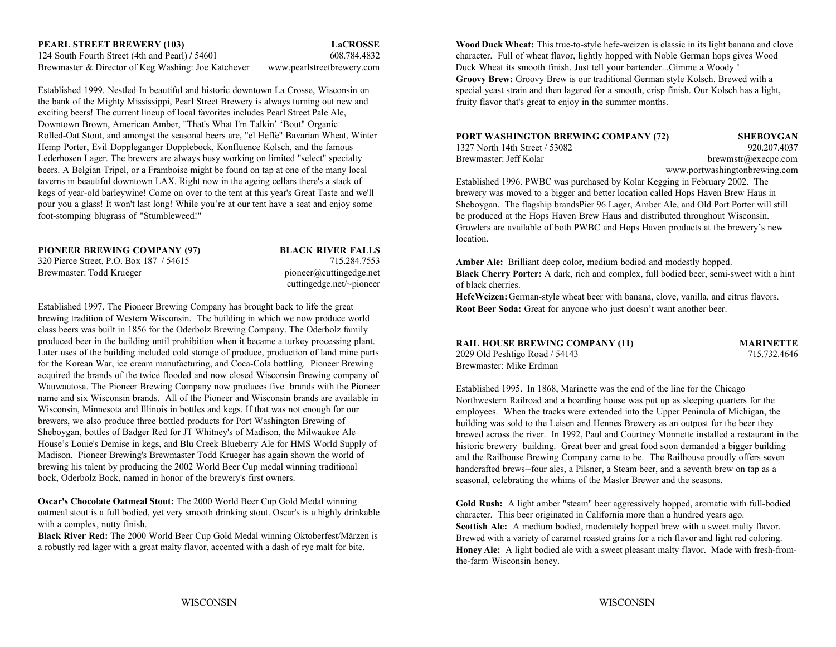Established 1999. Nestled In beautiful and historic downtown La Crosse, Wisconsin on the bank of the Mighty Mississippi, Pearl Street Brewery is always turning out new and exciting beers! The current lineup of local favorites includes Pearl Street Pale Ale, Downtown Brown, American Amber, "That's What I'm Talkin' 'Bout" Organic Rolled-Oat Stout, and amongst the seasonal beers are, "el Heffe" Bavarian Wheat, Winter Hemp Porter, Evil Doppleganger Dopplebock, Konfluence Kolsch, and the famous Lederhosen Lager. The brewers are always busy working on limited "select" specialty beers. A Belgian Tripel, or a Framboise might be found on tap at one of the many local taverns in beautiful downtown LAX. Right now in the ageing cellars there's a stack of kegs of year-old barleywine! Come on over to the tent at this year's Great Taste and we'll pour you a glass! It won't last long! While you're at our tent have a seat and enjoy some foot-stomping blugrass of "Stumbleweed!"

#### **PIONEER BREWING COMPANY (97) BLACK RIVER FALLS**

320 Pierce Street, P.O. Box 187 / 54615 715.284.7553 Brewmaster: Todd Krueger pioneer@cuttingedge.net

cuttingedge.net/~pioneer

Established 1997. The Pioneer Brewing Company has brought back to life the great brewing tradition of Western Wisconsin. The building in which we now produce world class beers was built in 1856 for the Oderbolz Brewing Company. The Oderbolz family produced beer in the building until prohibition when it became a turkey processing plant. Later uses of the building included cold storage of produce, production of land mine parts for the Korean War, ice cream manufacturing, and Coca-Cola bottling. Pioneer Brewing acquired the brands of the twice flooded and now closed Wisconsin Brewing company of Wauwautosa. The Pioneer Brewing Company now produces five brands with the Pioneer name and six Wisconsin brands. All of the Pioneer and Wisconsin brands are available inWisconsin, Minnesota and Illinois in bottles and kegs. If that was not enough for our brewers, we also produce three bottled products for Port Washington Brewing of Sheboygan, bottles of Badger Red for JT Whitney's of Madison, the Milwaukee Ale House's Louie's Demise in kegs, and Blu Creek Blueberry Ale for HMS World Supply of Madison. Pioneer Brewing's Brewmaster Todd Krueger has again shown the world of brewing his talent by producing the 2002 World Beer Cup medal winning traditional bock, Oderbolz Bock, named in honor of the brewery's first owners.

**Oscar's Chocolate Oatmeal Stout:** The 2000 World Beer Cup Gold Medal winning oatmeal stout is a full bodied, yet very smooth drinking stout. Oscar's is a highly drinkable with a complex, nutty finish.

**Black River Red:** The 2000 World Beer Cup Gold Medal winning Oktoberfest/Märzen is a robustly red lager with a great malty flavor, accented with a dash of rye malt for bite.

**PEARL STREET BREWERY (103) LaCROSSE Wood Duck Wheat:** This true-to-style hefe-weizen is classic in its light banana and clove 124 South Fourth Street (4th and Pearl) **/** 54601 608.784.4832 character. Full of wheat flavor, lightly hopped with Noble German hops gives Wood Brewmaster & Director of Keg Washing: Joe Katchever www.pearlstreetbrewery.com Duck Wheat its smooth finish. Just tell your bartender...Gimme a Woody ! **Groovy Brew:** Groovy Brew is our traditional German style Kolsch. Brewed with a special yeast strain and then lagered for a smooth, crisp finish. Our Kolsch has a light, fruity flavor that's great to enjoy in the summer months.

#### **PORT WASHINGTON BREWING COMPANY (72) SHEBOYGAN** 1327 North 14th Street / 53082 920.207.4037

Brewmaster: Jeff Kolar brewstrawhender brewmstrawhender. Let be brewstrawhender brewstrawhender.

www.portwashingtonbrewing.com Established 1996. PWBC was purchased by Kolar Kegging in February 2002. The brewery was moved to a bigger and better location called Hops Haven Brew Haus in Sheboygan. The flagship brandsPier 96 Lager, Amber Ale, and Old Port Porter will still be produced at the Hops Haven Brew Haus and distributed throughout Wisconsin. Growlers are available of both PWBC and Hops Haven products at the brewery's new location.

**Amber Ale:** Brilliant deep color, medium bodied and modestly hopped. **Black Cherry Porter:** A dark, rich and complex, full bodied beer, semi-sweet with a hint of black cherries.

**HefeWeizen:** German-style wheat beer with banana, clove, vanilla, and citrus flavors. **Root Beer Soda:** Great for anyone who just doesn't want another beer.

| RAIL HOUSE BREWING COMPANY (11) |  |
|---------------------------------|--|
| 2029 Old Peshtigo Road / 54143  |  |
| Brewmaster: Mike Erdman         |  |

**MARINETTE** 715.732.4646

Established 1995. In 1868, Marinette was the end of the line for the Chicago Northwestern Railroad and a boarding house was put up as sleeping quarters for the employees. When the tracks were extended into the Upper Peninula of Michigan, the building was sold to the Leisen and Hennes Brewery as an outpost for the beer they brewed across the river. In 1992, Paul and Courtney Monnette installed a restaurant in the historic brewery building. Great beer and great food soon demanded a bigger building and the Railhouse Brewing Company came to be. The Railhouse proudly offers seven handcrafted brews--four ales, a Pilsner, a Steam beer, and a seventh brew on tap as a seasonal, celebrating the whims of the Master Brewer and the seasons.

**Gold Rush:** A light amber "steam" beer aggressively hopped, aromatic with full-bodied character. This beer originated in California more than a hundred years ago. **Scottish Ale:** A medium bodied, moderately hopped brew with a sweet malty flavor. Brewed with a variety of caramel roasted grains for a rich flavor and light red coloring. **Honey Ale:** A light bodied ale with a sweet pleasant malty flavor. Made with fresh-fromthe-farm Wisconsin honey.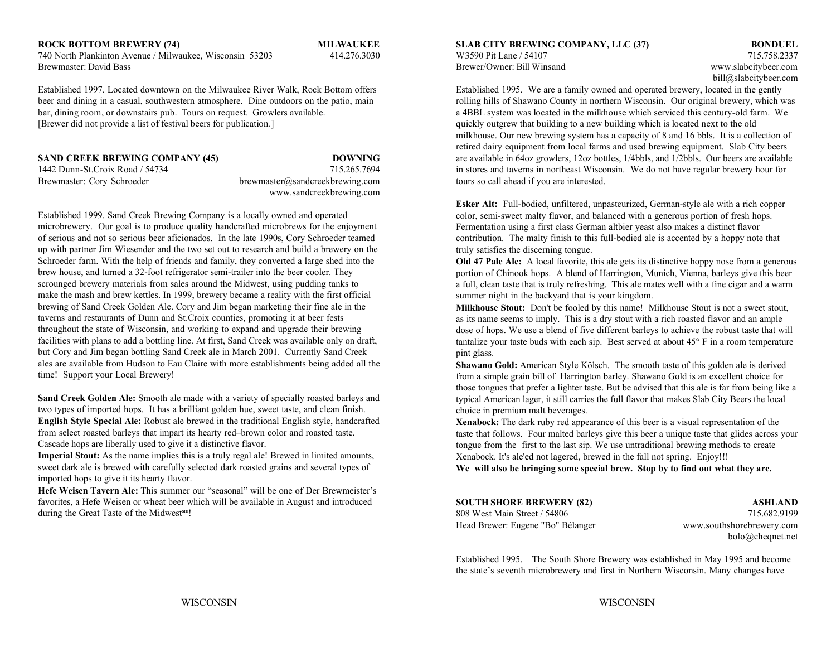#### **ROCK BOTTOM BREWERY (74) MILWAUKEE SLAB CITY BREWING COMPANY, LLC (37) BONDUEL**

740 North Plankinton Avenue / Milwaukee, Wisconsin 53203 414.276.3030 W3590 Pit Lane / 54107 715.758.2337 Brewmaster: David Bass Brewer/Owner: Bill Winsand www.slabcitybeer.com

Established 1997. Located downtown on the Milwaukee River Walk, Rock Bottom offers Established 1995. We are a family owned and operated brewery, located in the gently beer and dining in a casual, southwestern atmosphere. Dine outdoors on the patio, main rolling hills of Shawano County in northern Wisconsin. Our original brewery, which was bar, dining room, or downstairs pub. Tours on request. Growlers available. a 4BBL system was located in the milkhouse which serviced this century-old farm. We [Brewer did not provide a list of festival beers for publication.] quickly outgrew that building to a new building which is located next to the old

**SAND CREEK BREWING COMPANY (45) DOWNING** Brewmaster: Cory Schroeder brewmaster@sandcreekbrewing.com tours so call ahead if you are interested. www.sandcreekbrewing.com

Established 1999. Sand Creek Brewing Company is a locally owned and operated microbrewery. Our goal is to produce quality handcrafted microbrews for the enjoyment of serious and not so serious beer aficionados. In the late 1990s, Cory Schroeder teamed up with partner Jim Wiesender and the two set out to research and build a brewery on the Schroeder farm. With the help of friends and family, they converted a large shed into the brew house, and turned a 32-foot refrigerator semi-trailer into the beer cooler. They scrounged brewery materials from sales around the Midwest, using pudding tanks to make the mash and brew kettles. In 1999, brewery became a reality with the first official brewing of Sand Creek Golden Ale. Cory and Jim began marketing their fine ale in the taverns and restaurants of Dunn and St.Croix counties, promoting it at beer fests throughout the state of Wisconsin, and working to expand and upgrade their brewing facilities with plans to add a bottling line. At first, Sand Creek was available only on draft, but Cory and Jim began bottling Sand Creek ale in March 2001. Currently Sand Creek ales are available from Hudson to Eau Claire with more establishments being added all the time! Support your Local Brewery!

**Sand Creek Golden Ale:** Smooth ale made with a variety of specially roasted barleys and two types of imported hops. It has a brilliant golden hue, sweet taste, and clean finish. **English Style Special Ale:** Robust ale brewed in the traditional English style, handcrafted from select roasted barleys that impart its hearty red–brown color and roasted taste. Cascade hops are liberally used to give it a distinctive flavor.

**Imperial Stout:** As the name implies this is a truly regal ale! Brewed in limited amounts, sweet dark ale is brewed with carefully selected dark roasted grains and several types of imported hops to give it its hearty flavor.

**Hefe Weisen Tavern Ale:** This summer our "seasonal" will be one of Der Brewmeister's favorites, a Hefe Weisen or wheat beer which will be available in August and introduced during the Great Taste of the Midwest<sup>sm</sup>!

bill@slabcitybeer.com

1442 Dunn-St.Croix Road / 54734 715.265.7694 in stores and taverns in northeast Wisconsin. We do not have regular brewery hour for milkhouse. Our new brewing system has a capacity of 8 and 16 bbls. It is a collection of retired dairy equipment from local farms and used brewing equipment. Slab City beers are available in 64oz growlers, 12oz bottles, 1/4bbls, and 1/2bbls. Our beers are available

> **Esker Alt:** Full-bodied, unfiltered, unpasteurized, German-style ale with a rich copper color, semi-sweet malty flavor, and balanced with a generous portion of fresh hops. Fermentation using a first class German altbier yeast also makes a distinct flavor contribution. The malty finish to this full-bodied ale is accented by a hoppy note that truly satisfies the discerning tongue.

**Old 47 Pale Ale:** A local favorite, this ale gets its distinctive hoppy nose from a generous portion of Chinook hops. A blend of Harrington, Munich, Vienna, barleys give this beer a full, clean taste that is truly refreshing. This ale mates well with a fine cigar and a warm summer night in the backyard that is your kingdom.

**Milkhouse Stout:** Don't be fooled by this name! Milkhouse Stout is not a sweet stout, as its name seems to imply. This is a dry stout with a rich roasted flavor and an ample dose of hops. We use a blend of five different barleys to achieve the robust taste that will tantalize your taste buds with each sip. Best served at about 45° F in a room temperature pint glass.

**Shawano Gold:** American Style Kölsch. The smooth taste of this golden ale is derived from a simple grain bill of Harrington barley. Shawano Gold is an excellent choice for those tongues that prefer a lighter taste. But be advised that this ale is far from being like a typical American lager, it still carries the full flavor that makes Slab City Beers the local choice in premium malt beverages.

**Xenabock:** The dark ruby red appearance of this beer is a visual representation of the taste that follows. Four malted barleys give this beer a unique taste that glides across your tongue from the first to the last sip. We use untraditional brewing methods to create Xenabock. It's ale'ed not lagered, brewed in the fall not spring. Enjoy!!!

**We will also be bringing some special brew. Stop by to find out what they are.**

| <b>SOUTH SHORE BREWERY (82)</b>   | <b>ASHLAND</b>            |
|-----------------------------------|---------------------------|
| 808 West Main Street / 54806      | 715.682.9199              |
| Head Brewer: Eugene "Bo" Bélanger | www.southshorebrewery.com |
|                                   | bolo@cheqnet.net          |

Established 1995. The South Shore Brewery was established in May 1995 and become the state's seventh microbrewery and first in Northern Wisconsin. Many changes have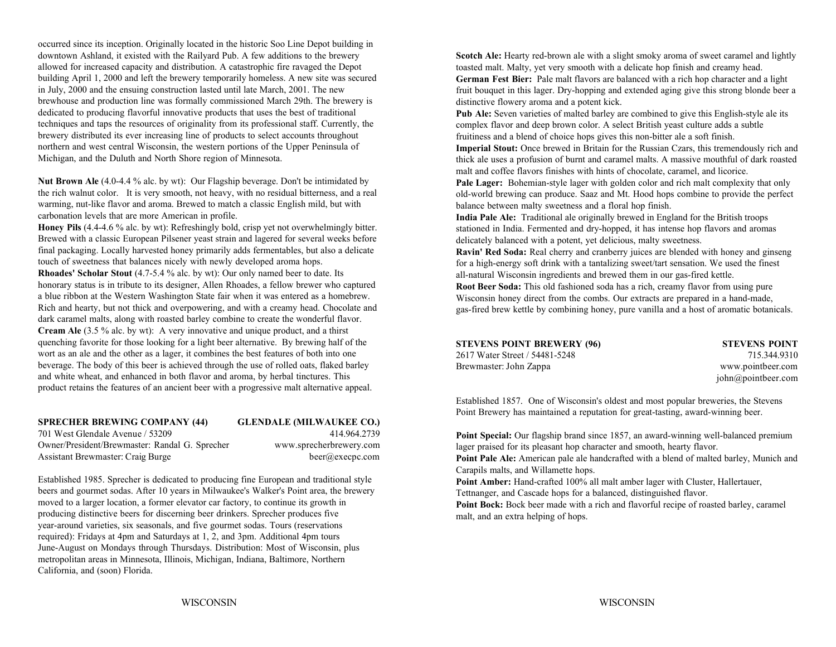occurred since its inception. Originally located in the historic Soo Line Depot building in downtown Ashland, it existed with the Railyard Pub. A few additions to the brewery allowed for increased capacity and distribution. A catastrophic fire ravaged the Depot building April 1, 2000 and left the brewery temporarily homeless. A new site was secured in July, 2000 and the ensuing construction lasted until late March, 2001. The new brewhouse and production line was formally commissioned March 29th. The brewery is dedicated to producing flavorful innovative products that uses the best of traditional techniques and taps the resources of originality from its professional staff. Currently, the brewery distributed its ever increasing line of products to select accounts throughout northern and west central Wisconsin, the western portions of the Upper Peninsula of Michigan, and the Duluth and North Shore region of Minnesota.

**Nut Brown Ale** (4.0-4.4 % alc. by wt): Our Flagship beverage. Don't be intimidated by the rich walnut color. It is very smooth, not heavy, with no residual bitterness, and a real warming, nut-like flavor and aroma. Brewed to match a classic English mild, but with carbonation levels that are more American in profile.

**Honey Pils** (4.4-4.6 % alc. by wt): Refreshingly bold, crisp yet not overwhelmingly bitter. Brewed with a classic European Pilsener yeast strain and lagered for several weeks before final packaging. Locally harvested honey primarily adds fermentables, but also a delicate touch of sweetness that balances nicely with newly developed aroma hops. **Rhoades' Scholar Stout** (4.7-5.4 % alc. by wt): Our only named beer to date. Its honorary status is in tribute to its designer, Allen Rhoades, a fellow brewer who captured a blue ribbon at the Western Washington State fair when it was entered as a homebrew. Rich and hearty, but not thick and overpowering, and with a creamy head. Chocolate and dark caramel malts, along with roasted barley combine to create the wonderful flavor. **Cream Ale** (3.5 % alc. by wt): A very innovative and unique product, and a thirst quenching favorite for those looking for a light beer alternative. By brewing half of the wort as an ale and the other as a lager, it combines the best features of both into one beverage. The body of this beer is achieved through the use of rolled oats, flaked barley and white wheat, and enhanced in both flavor and aroma, by herbal tinctures. This product retains the features of an ancient beer with a progressive malt alternative appeal.

### **SPRECHER BREWING COMPANY (44) GLENDALE (MILWAUKEE CO.)** 701 West Glendale Avenue / 53209 414.964.2739Owner/President/Brewmaster: Randal G. Sprecher www.sprecherbrewery.com

Assistant Brewmaster: Craig Burge beer@execpc.com

Established 1985. Sprecher is dedicated to producing fine European and traditional style beers and gourmet sodas. After 10 years in Milwaukee's Walker's Point area, the brewery moved to a larger location, a former elevator car factory, to continue its growth in producing distinctive beers for discerning beer drinkers. Sprecher produces five year-around varieties, six seasonals, and five gourmet sodas. Tours (reservations required): Fridays at 4pm and Saturdays at 1, 2, and 3pm. Additional 4pm tours June-August on Mondays through Thursdays. Distribution: Most of Wisconsin, plus metropolitan areas in Minnesota, Illinois, Michigan, Indiana, Baltimore, Northern California, and (soon) Florida.

**Scotch Ale:** Hearty red-brown ale with a slight smoky aroma of sweet caramel and lightly toasted malt. Malty, yet very smooth with a delicate hop finish and creamy head. **German Fest Bier:** Pale malt flavors are balanced with a rich hop character and a light fruit bouquet in this lager. Dry-hopping and extended aging give this strong blonde beer a distinctive flowery aroma and a potent kick.

**Pub Ale:** Seven varieties of malted barley are combined to give this English-style ale its complex flavor and deep brown color. A select British yeast culture adds a subtle fruitiness and a blend of choice hops gives this non-bitter ale a soft finish.

**Imperial Stout:** Once brewed in Britain for the Russian Czars, this tremendously rich and thick ale uses a profusion of burnt and caramel malts. A massive mouthful of dark roasted malt and coffee flavors finishes with hints of chocolate, caramel, and licorice.

**Pale Lager:** Bohemian-style lager with golden color and rich malt complexity that only old-world brewing can produce. Saaz and Mt. Hood hops combine to provide the perfect balance between malty sweetness and a floral hop finish.

**India Pale Ale:** Traditional ale originally brewed in England for the British troops stationed in India. Fermented and dry-hopped, it has intense hop flavors and aromas delicately balanced with a potent, yet delicious, malty sweetness.

**Ravin' Red Soda:** Real cherry and cranberry juices are blended with honey and ginseng for a high-energy soft drink with a tantalizing sweet/tart sensation. We used the finest all-natural Wisconsin ingredients and brewed them in our gas-fired kettle.

**Root Beer Soda:** This old fashioned soda has a rich, creamy flavor from using pure Wisconsin honey direct from the combs. Our extracts are prepared in a hand-made, gas-fired brew kettle by combining honey, pure vanilla and a host of aromatic botanicals.

| STEVENS POINT BREWERY (96)     | <b>STEVENS POINT</b> |
|--------------------------------|----------------------|
| 2617 Water Street / 54481-5248 | 715.344.9310         |
| Brewmaster: John Zappa         | www.pointbeer.com    |
|                                | john@pointbeer.com   |

Established 1857. One of Wisconsin's oldest and most popular breweries, the Stevens Point Brewery has maintained a reputation for great-tasting, award-winning beer.

**Point Special:** Our flagship brand since 1857, an award-winning well-balanced premium lager praised for its pleasant hop character and smooth, hearty flavor.

**Point Pale Ale:** American pale ale handcrafted with a blend of malted barley, Munich and Carapils malts, and Willamette hops.

Point Amber: Hand-crafted 100% all malt amber lager with Cluster, Hallertauer, Tettnanger, and Cascade hops for a balanced, distinguished flavor.

Point Bock: Bock beer made with a rich and flavorful recipe of roasted barley, caramel malt, and an extra helping of hops.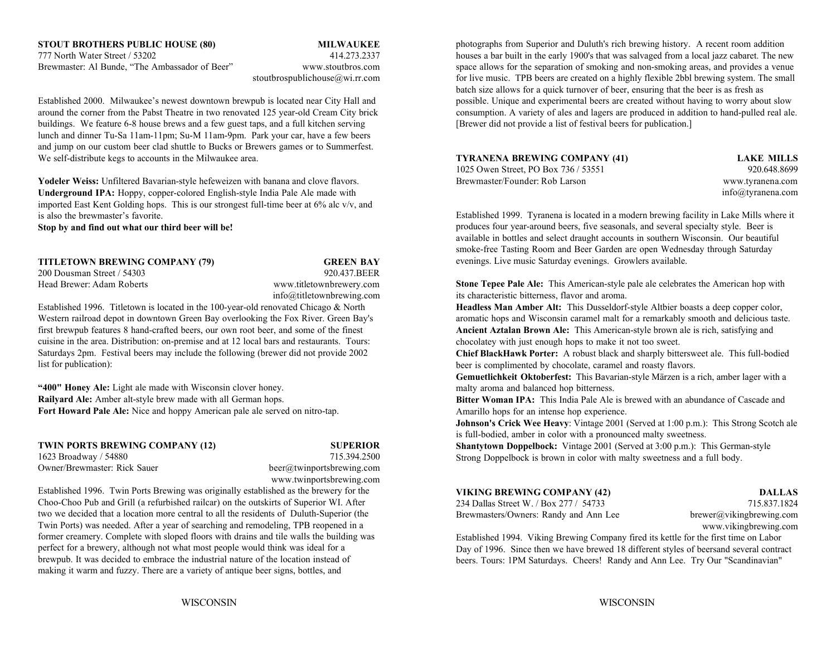## **STOUT BROTHERS PUBLIC HOUSE (80) MILWAUKEE** 777 North Water Street / 53202 414.273.2337

buildings. We feature 6-8 house brews and a few guest taps, and a full kitchen serving [Brewer did not provide a list of festival beers for publication.] lunch and dinner Tu-Sa 11am-11pm; Su-M 11am-9pm. Park your car, have a few beers and jump on our custom beer clad shuttle to Bucks or Brewers games or to Summerfest. We self-distribute kegs to accounts in the Milwaukee area.

**Yodeler Weiss:** Unfiltered Bavarian-style hefeweizen with banana and clove flavors. **Underground IPA:** Hoppy, copper-colored English-style India Pale Ale made with imported East Kent Golding hops. This is our strongest full-time beer at 6% alc v/v, and is also the brewmaster's favorite.

**Stop by and find out what our third beer will be!**

**TITLETOWN BREWING COMPANY (79) GREEN BAY** 200 Dousman Street / 54303 920.437.BEER

Head Brewer: Adam Roberts www.titletownbrewery.com info@titletownbrewing.com

Established 1996. Titletown is located in the 100-year-old renovated Chicago & North **Headless Man Amber Alt:** This Dusseldorf-style Altbier boasts a deep copper color, Western railroad depot in downtown Green Bay overlooking the Fox River. Green Bay's aromatic hops and Wisconsin caramel malt for a remarkably smooth and delicious taste. first brewpub features 8 hand-crafted beers, our own root beer, and some of the finest cuisine in the area. Distribution: on-premise and at 12 local bars and restaurants. Tours: Saturdays 2pm. Festival beers may include the following (brewer did not provide 2002 list for publication):

**"400" Honey Ale:** Light ale made with Wisconsin clover honey. **Railyard Ale:** Amber alt-style brew made with all German hops. **Fort Howard Pale Ale:** Nice and hoppy American pale ale served on nitro-tap.

**TWIN PORTS BREWING COMPANY (12) SUPERIOR** 1623 Broadway / 54880 715.394.2500

Owner/Brewmaster: Rick Sauer beer@twinportsbrewing.com www.twinportsbrewing.com

Established 1996. Twin Ports Brewing was originally established as the brewery for the Choo-Choo Pub and Grill (a refurbished railcar) on the outskirts of Superior WI. After two we decided that a location more central to all the residents of Duluth-Superior (the Twin Ports) was needed. After a year of searching and remodeling, TPB reopened in a former creamery. Complete with sloped floors with drains and tile walls the building was perfect for a brewery, although not what most people would think was ideal for a brewpub. It was decided to embrace the industrial nature of the location instead of making it warm and fuzzy. There are a variety of antique beer signs, bottles, and

 houses a bar built in the early 1900's that was salvaged from a local jazz cabaret. The new Brewmaster: Al Bunde, "The Ambassador of Beer" www.stoutbros.com space allows for the separation of smoking and non-smoking areas, and provides a venue stoutbrospublichouse@wi.rr.com for live music. TPB beers are created on a highly flexible 2bbl brewing system. The small Established 2000. Milwaukee's newest downtown brewpub is located near City Hall and possible. Unique and experimental beers are created without having to worry about slow around the corner from the Pabst Theatre in two renovated 125 year-old Cream City brick consumption. A variety of ales and lagers are produced in addition to hand-pulled real ale. photographs from Superior and Duluth's rich brewing history. A recent room addition batch size allows for a quick turnover of beer, ensuring that the beer is as fresh as

### **TYRANENA BREWING COMPANY (41) LAKE MILLS**

1025 Owen Street, PO Box 736 / 53551 920.648.8699 Brewmaster/Founder: Rob Larson www.tyranena.com

info@tyranena.com

Established 1999. Tyranena is located in a modern brewing facility in Lake Mills where it produces four year-around beers, five seasonals, and several specialty style. Beer is available in bottles and select draught accounts in southern Wisconsin. Our beautiful smoke-free Tasting Room and Beer Garden are open Wednesday through Saturday evenings. Live music Saturday evenings. Growlers available.

**Stone Tepee Pale Ale:** This American-style pale ale celebrates the American hop with its characteristic bitterness, flavor and aroma.

**Ancient Aztalan Brown Ale:** This American-style brown ale is rich, satisfying and chocolatey with just enough hops to make it not too sweet.

**Chief BlackHawk Porter:** A robust black and sharply bittersweet ale. This full-bodied beer is complimented by chocolate, caramel and roasty flavors.

**Gemuetlichkeit Oktoberfest:** This Bavarian-style Märzen is a rich, amber lager with a malty aroma and balanced hop bitterness.

**Bitter Woman IPA:** This India Pale Ale is brewed with an abundance of Cascade and Amarillo hops for an intense hop experience.

**Johnson's Crick Wee Heavy:** Vintage 2001 (Served at 1:00 p.m.): This Strong Scotch ale is full-bodied, amber in color with a pronounced malty sweetness.

**Shantytown Doppelbock:** Vintage 2001 (Served at 3:00 p.m.): This German-style Strong Doppelbock is brown in color with malty sweetness and a full body.

#### **VIKING BREWING COMPANY (42) DALLAS**

234 Dallas Street W. / Box 277 / 54733 715.837.1824Brewmasters/Owners: Randy and Ann Lee brewer@vikingbrewing.com

www.vikingbrewing.com

Established 1994. Viking Brewing Company fired its kettle for the first time on Labor Day of 1996. Since then we have brewed 18 different styles of beersand several contract beers. Tours: 1PM Saturdays. Cheers! Randy and Ann Lee. Try Our "Scandinavian"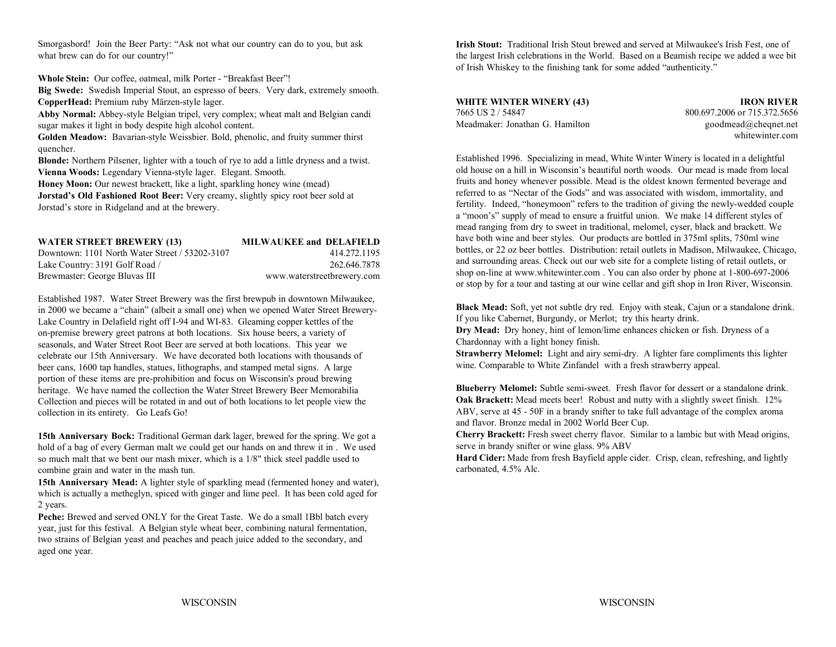Smorgasbord! Join the Beer Party: "Ask not what our country can do to you, but ask what brew can do for our country!"

**Whole Stein:** Our coffee, oatmeal, milk Porter - "Breakfast Beer"!

**Big Swede:** Swedish Imperial Stout, an espresso of beers. Very dark, extremely smooth. **CopperHead:** Premium ruby Märzen-style lager.

**Abby Normal:** Abbey-style Belgian tripel, very complex; wheat malt and Belgian candi sugar makes it light in body despite high alcohol content.

**Golden Meadow:** Bavarian-style Weissbier. Bold, phenolic, and fruity summer thirst quencher.

**Blonde:** Northern Pilsener, lighter with a touch of rye to add a little dryness and a twist. **Vienna Woods:** Legendary Vienna-style lager. Elegant. Smooth.

**Honey Moon:** Our newest brackett, like a light, sparkling honey wine (mead) **Jorstad's Old Fashioned Root Beer:** Very creamy, slightly spicy root beer sold at

Jorstad's store in Ridgeland and at the brewery.

| WATER STREET BREWERY (13)                      | <b>MILWAUKEE and DELAFIELD</b> |
|------------------------------------------------|--------------------------------|
| Downtown: 1101 North Water Street / 53202-3107 | 414.272.1195                   |
| Lake Country: 3191 Golf Road /                 | 262.646.7878                   |
| Brewmaster: George Bluvas III                  | www.waterstreetbrewery.com     |

Established 1987. Water Street Brewery was the first brewpub in downtown Milwaukee, in 2000 we became a "chain" (albeit a small one) when we opened Water Street Brewery-Lake Country in Delafield right off I-94 and WI-83. Gleaming copper kettles of the on-premise brewery greet patrons at both locations. Six house beers, a variety of seasonals, and Water Street Root Beer are served at both locations. This year we celebrate our 15th Anniversary. We have decorated both locations with thousands of beer cans, 1600 tap handles, statues, lithographs, and stamped metal signs. A large portion of these items are pre-prohibition and focus on Wisconsin's proud brewing heritage. We have named the collection the Water Street Brewery Beer Memorabilia Collection and pieces will be rotated in and out of both locations to let people view the collection in its entirety. Go Leafs Go!

**15th Anniversary Bock:** Traditional German dark lager, brewed for the spring. We got a hold of a bag of every German malt we could get our hands on and threw it in . We used so much malt that we bent our mash mixer, which is a 1/8" thick steel paddle used to combine grain and water in the mash tun.

**15th Anniversary Mead:** A lighter style of sparkling mead (fermented honey and water), which is actually a metheglyn, spiced with ginger and lime peel. It has been cold aged for 2 years.

Peche: Brewed and served ONLY for the Great Taste. We do a small 1Bbl batch every year, just for this festival. A Belgian style wheat beer, combining natural fermentation, two strains of Belgian yeast and peaches and peach juice added to the secondary, and aged one year.

**Irish Stout:** Traditional Irish Stout brewed and served at Milwaukee's Irish Fest, one of the largest Irish celebrations in the World. Based on a Beamish recipe we added a wee bit of Irish Whiskey to the finishing tank for some added "authenticity."

**WHITE WINTER WINERY (43) IRON RIVER** 7665 US 2 / 54847 800.697.2006 or 715.372.5656Meadmaker: Jonathan G. Hamilton

 goodmead@cheqnet.net whitewinter.com

Established 1996. Specializing in mead, White Winter Winery is located in a delightful old house on a hill in Wisconsin's beautiful north woods. Our mead is made from localfruits and honey whenever possible. Mead is the oldest known fermented beverage and referred to as "Nectar of the Gods" and was associated with wisdom, immortality, and fertility. Indeed, "honeymoon" refers to the tradition of giving the newly-wedded couple <sup>a</sup>"moon's" supply of mead to ensure a fruitful union. We make 14 different styles of mead ranging from dry to sweet in traditional, melomel, cyser, black and brackett. We have both wine and beer styles. Our products are bottled in 375ml splits, 750ml wine bottles, or 22 oz beer bottles. Distribution: retail outlets in Madison, Milwaukee, Chicago, and surrounding areas. Check out our web site for a complete listing of retail outlets, or shop on-line at www.whitewinter.com . You can also order by phone at 1-800-697-2006 or stop by for a tour and tasting at our wine cellar and gift shop in Iron River, Wisconsin.

**Black Mead:** Soft, yet not subtle dry red. Enjoy with steak, Cajun or a standalone drink. If you like Cabernet, Burgundy, or Merlot; try this hearty drink.

**Dry Mead:** Dry honey, hint of lemon/lime enhances chicken or fish. Dryness of a Chardonnay with a light honey finish.

**Strawberry Melomel:** Light and airy semi-dry. A lighter fare compliments this lighter wine. Comparable to White Zinfandel with a fresh strawberry appeal.

**Blueberry Melomel:** Subtle semi-sweet. Fresh flavor for dessert or a standalone drink. **Oak Brackett:** Mead meets beer! Robust and nutty with a slightly sweet finish. 12% ABV, serve at 45 - 50F in a brandy snifter to take full advantage of the complex aroma and flavor. Bronze medal in 2002 World Beer Cup.

**Cherry Brackett:** Fresh sweet cherry flavor. Similar to a lambic but with Mead origins, serve in brandy snifter or wine glass. 9% ABV

**Hard Cider:** Made from fresh Bayfield apple cider. Crisp, clean, refreshing, and lightly carbonated, 4.5% Alc.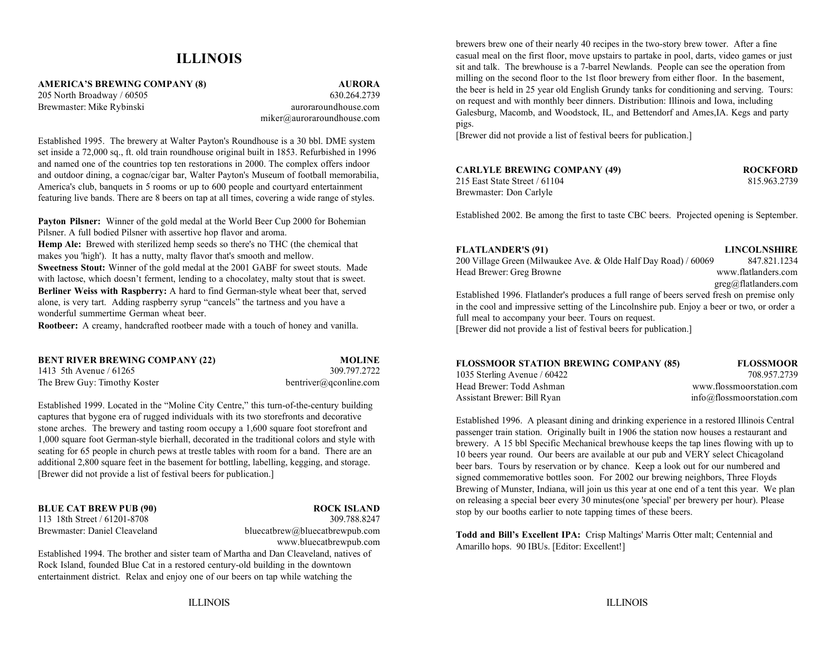### **ILLINOIS**

**AMERICA'S BREWING COMPANY (8) AURORA**

205 North Broadway / 60505 630.264.2739 Brewmaster: Mike Rybinski auroraroundhouse.com miker@auroraroundhouse.com

Established 1995. The brewery at Walter Payton's Roundhouse is a 30 bbl. DME system set inside a 72,000 sq., ft. old train roundhouse original built in 1853. Refurbished in 1996 and named one of the countries top ten restorations in 2000. The complex offers indoor and outdoor dining, a cognac/cigar bar, Walter Payton's Museum of football memorabilia, America's club, banquets in 5 rooms or up to 600 people and courtyard entertainment featuring live bands. There are 8 beers on tap at all times, covering a wide range of styles.

**Payton Pilsner:** Winner of the gold medal at the World Beer Cup 2000 for Bohemian Pilsner. A full bodied Pilsner with assertive hop flavor and aroma. **Hemp Ale:** Brewed with sterilized hemp seeds so there's no THC (the chemical that makes you 'high'). It has a nutty, malty flavor that's smooth and mellow. **Sweetness Stout:** Winner of the gold medal at the 2001 GABF for sweet stouts. Made with lactose, which doesn't ferment, lending to a chocolatey, malty stout that is sweet. **Berliner Weiss with Raspberry:** A hard to find German-style wheat beer that, served alone, is very tart. Adding raspberry syrup "cancels" the tartness and you have a wonderful summertime German wheat beer.

**Rootbeer:** A creamy, handcrafted rootbeer made with a touch of honey and vanilla.

| BENT RIVER BREWING COMPANY (22) | <b>MOLINE</b>          |
|---------------------------------|------------------------|
| 1413 5th Avenue / 61265         | 309.797.2722           |
| The Brew Guy: Timothy Koster    | bentriver@gconline.com |

Established 1999. Located in the "Moline City Centre," this turn-of-the-century building captures that bygone era of rugged individuals with its two storefronts and decorative stone arches. The brewery and tasting room occupy a 1,600 square foot storefront and 1,000 square foot German-style bierhall, decorated in the traditional colors and style with seating for 65 people in church pews at trestle tables with room for a band. There are an additional 2,800 square feet in the basement for bottling, labelling, kegging, and storage. [Brewer did not provide a list of festival beers for publication.]

**BLUE CAT BREW PUB (90) ROCK ISLAND** 113 18th Street / 61201-8708 309.788.8247

Brewmaster: Daniel Cleaveland bluecatbrew@bluecatbrewpub.com www.bluecatbrewpub.com

Established 1994. The brother and sister team of Martha and Dan Cleaveland, natives of Rock Island, founded Blue Cat in a restored century-old building in the downtown entertainment district. Relax and enjoy one of our beers on tap while watching the

brewers brew one of their nearly 40 recipes in the two-story brew tower. After a fine casual meal on the first floor, move upstairs to partake in pool, darts, video games or just sit and talk. The brewhouse is a 7-barrel Newlands. People can see the operation from milling on the second floor to the 1st floor brewery from either floor. In the basement, the beer is held in 25 year old English Grundy tanks for conditioning and serving. Tours: on request and with monthly beer dinners. Distribution: Illinois and Iowa, including Galesburg, Macomb, and Woodstock, IL, and Bettendorf and Ames,IA. Kegs and party pigs.

[Brewer did not provide a list of festival beers for publication.]

| <b>CARLYLE BREWING COMPANY (49)</b> | <b>ROCKFORD</b> |
|-------------------------------------|-----------------|
|-------------------------------------|-----------------|

215 East State Street / 61104 815.963.2739 Brewmaster: Don Carlyle

Established 2002. Be among the first to taste CBC beers. Projected opening is September.

#### **FLATLANDER'S (91) LINCOLNSHIRE**

200 Village Green (Milwaukee Ave. & Olde Half Day Road) / 60069 847.821.1234 Head Brewer: Greg Browne www.flatlanders.com greg@flatlanders.com Established 1996. Flatlander's produces a full range of beers served fresh on premise only in the cool and impressive setting of the Lincolnshire pub. Enjoy a beer or two, or order a full meal to accompany your beer. Tours on request. [Brewer did not provide a list of festival beers for publication.]

| <b>FLOSSMOOR STATION BREWING COMPANY (85)</b> | <b>FLOSSMOOR</b>          |
|-----------------------------------------------|---------------------------|
| 1035 Sterling Avenue / 60422                  | 708.957.2739              |
| Head Brewer: Todd Ashman                      | www.flossmoorstation.com  |
| Assistant Brewer: Bill Ryan                   | info@flossmoorstation.com |

Established 1996. A pleasant dining and drinking experience in a restored Illinois Central passenger train station. Originally built in 1906 the station now houses a restaurant and brewery. A 15 bbl Specific Mechanical brewhouse keeps the tap lines flowing with up to 10 beers year round. Our beers are available at our pub and VERY select Chicagoland beer bars. Tours by reservation or by chance. Keep a look out for our numbered and signed commemorative bottles soon. For 2002 our brewing neighbors, Three Floyds Brewing of Munster, Indiana, will join us this year at one end of a tent this year. We plan on releasing a special beer every 30 minutes(one 'special' per brewery per hour). Please stop by our booths earlier to note tapping times of these beers.

**Todd and Bill's Excellent IPA:** Crisp Maltings' Marris Otter malt; Centennial and Amarillo hops. 90 IBUs. [Editor: Excellent!]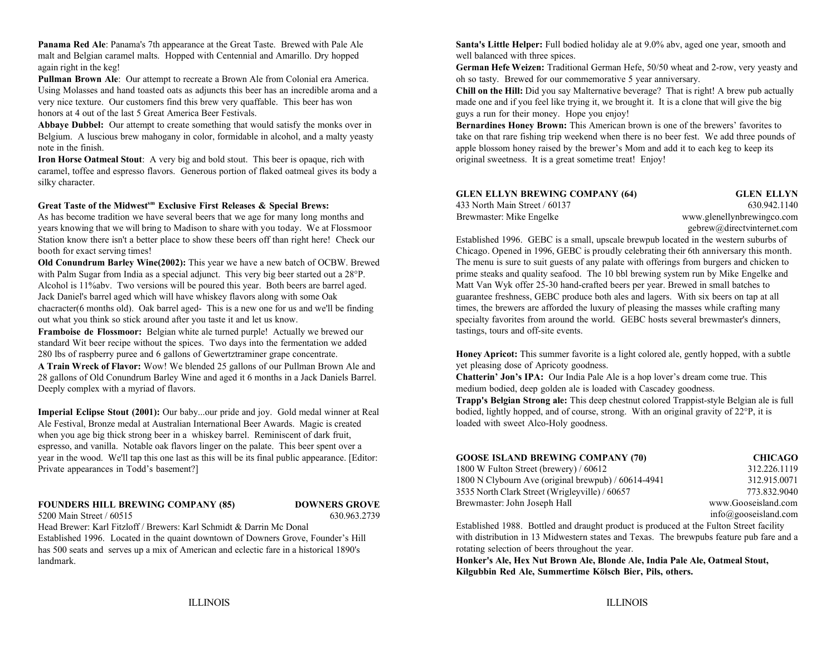**Panama Red Ale**: Panama's 7th appearance at the Great Taste. Brewed with Pale Ale **Santa's Little Helper:** Full bodied holiday ale at 9.0% abv, aged one year, smooth and malt and Belgian caramel malts. Hopped with Centennial and Amarillo. Dry hopped well balanced with three spices. again right in the keg!

**Pullman Brown Ale**: Our attempt to recreate a Brown Ale from Colonial era America. oh so tasty. Brewed for our commemorative 5 year anniversary. Using Molasses and hand toasted oats as adjuncts this beer has an incredible aroma and a very nice texture. Our customers find this brew very quaffable. This beer has won honors at 4 out of the last 5 Great America Beer Festivals.

**Abbaye Dubbel:** Our attempt to create something that would satisfy the monks over in Belgium. A luscious brew mahogany in color, formidable in alcohol, and a malty yeasty note in the finish.

**Iron Horse Oatmeal Stout**: A very big and bold stout. This beer is opaque, rich with original sweetness. It is a great sometime treat! Enjoy! caramel, toffee and espresso flavors. Generous portion of flaked oatmeal gives its body a silky character.

#### Great Taste of the Midwest<sup>*sm*</sup> Exclusive First Releases & Special Brews:

As has become tradition we have several beers that we age for many long months and years knowing that we will bring to Madison to share with you today. We at Flossmoor gebrew@directvinternet.com Station know there isn't a better place to show these beers off than right here! Check our Established 1996. GEBC is a small, upscale brewpub located in the western suburbs of booth for exact serving times!<br>
Chicago. Opened in 1996, GEBC is proudly celebrating their 6th anniversary this month.

**Old Conundrum Barley Wine(2002):** This year we have a new batch of OCBW. Brewed with Palm Sugar from India as a special adjunct. This very big beer started out a 28°P. Alcohol is 11%abv. Two versions will be poured this year. Both beers are barrel aged. Jack Daniel's barrel aged which will have whiskey flavors along with some Oak chacracter(6 months old). Oak barrel aged- This is a new one for us and we'll be finding out what you think so stick around after you taste it and let us know.

**Framboise de Flossmoor:** Belgian white ale turned purple! Actually we brewed our standard Wit beer recipe without the spices. Two days into the fermentation we added 280 lbs of raspberry puree and 6 gallons of Gewertztraminer grape concentrate.

**A Train Wreck of Flavor:** Wow! We blended 25 gallons of our Pullman Brown Ale and 28 gallons of Old Conundrum Barley Wine and aged it 6 months in a Jack Daniels Barrel. Deeply complex with a myriad of flavors.

**Imperial Eclipse Stout (2001):** Our baby...our pride and joy. Gold medal winner at Real Ale Festival, Bronze medal at Australian International Beer Awards. Magic is created when you age big thick strong beer in a whiskey barrel. Reminiscent of dark fruit, espresso, and vanilla. Notable oak flavors linger on the palate. This beer spent over a year in the wood. We'll tap this one last as this will be its final public appearance. [Editor: Private appearances in Todd's basement?]

#### **FOUNDERS HILL BREWING COMPANY (85) DOWNERS GROVE**

## 5200 Main Street / 60515 630.963.2739

Head Brewer: Karl Fitzloff / Brewers: Karl Schmidt & Darrin Mc Donal

Established 1996. Located in the quaint downtown of Downers Grove, Founder's Hill has 500 seats and serves up a mix of American and eclectic fare in a historical 1890's landmark.

**German Hefe Weizen:** Traditional German Hefe, 50/50 wheat and 2-row, very yeasty and

**Chill on the Hill:** Did you say Malternative beverage? That is right! A brew pub actually made one and if you feel like trying it, we brought it. It is a clone that will give the big guys a run for their money. Hope you enjoy!

**Bernardines Honey Brown:** This American brown is one of the brewers' favorites to take on that rare fishing trip weekend when there is no beer fest. We add three pounds of apple blossom honey raised by the brewer's Mom and add it to each keg to keep its

| <b>GLEN ELLYN BREWING COMPANY (64)</b> | <b>GLEN ELLYN</b>          |
|----------------------------------------|----------------------------|
| 433 North Main Street / 60137          | 630.942.1140               |
| Brewmaster: Mike Engelke               | www.glenellynbrewingco.com |

The menu is sure to suit guests of any palate with offerings from burgers and chicken to prime steaks and quality seafood. The 10 bbl brewing system run by Mike Engelke and Matt Van Wyk offer 25-30 hand-crafted beers per year. Brewed in small batches to guarantee freshness, GEBC produce both ales and lagers. With six beers on tap at all times, the brewers are afforded the luxury of pleasing the masses while crafting many specialty favorites from around the world. GEBC hosts several brewmaster's dinners, tastings, tours and off-site events.

**Honey Apricot:** This summer favorite is a light colored ale, gently hopped, with a subtle yet pleasing dose of Apricoty goodness.

**Chatterin' Jon's IPA:** Our India Pale Ale is a hop lover's dream come true. This medium bodied, deep golden ale is loaded with Cascadey goodness. **Trapp's Belgian Strong ale:** This deep chestnut colored Trappist-style Belgian ale is full bodied, lightly hopped, and of course, strong. With an original gravity of 22°P, it is loaded with sweet Alco-Holy goodness.

| <b>GOOSE ISLAND BREWING COMPANY (70)</b>            | <b>CHICAGO</b>                 |
|-----------------------------------------------------|--------------------------------|
| 1800 W Fulton Street (brewery) / 60612              | 312.226.1119                   |
| 1800 N Clybourn Ave (original brewpub) / 60614-4941 | 312.915.0071                   |
| 3535 North Clark Street (Wrigleyville) / 60657      | 773.832.9040                   |
| Brewmaster: John Joseph Hall                        | www.Gooseisland.com            |
|                                                     | $info(\omega)$ gooseisland.com |

Established 1988. Bottled and draught product is produced at the Fulton Street facility with distribution in 13 Midwestern states and Texas. The brewpubs feature pub fare and a rotating selection of beers throughout the year.

**Honker's Ale, Hex Nut Brown Ale, Blonde Ale, India Pale Ale, Oatmeal Stout, Kilgubbin Red Ale, Summertime Kölsch Bier, Pils, others.**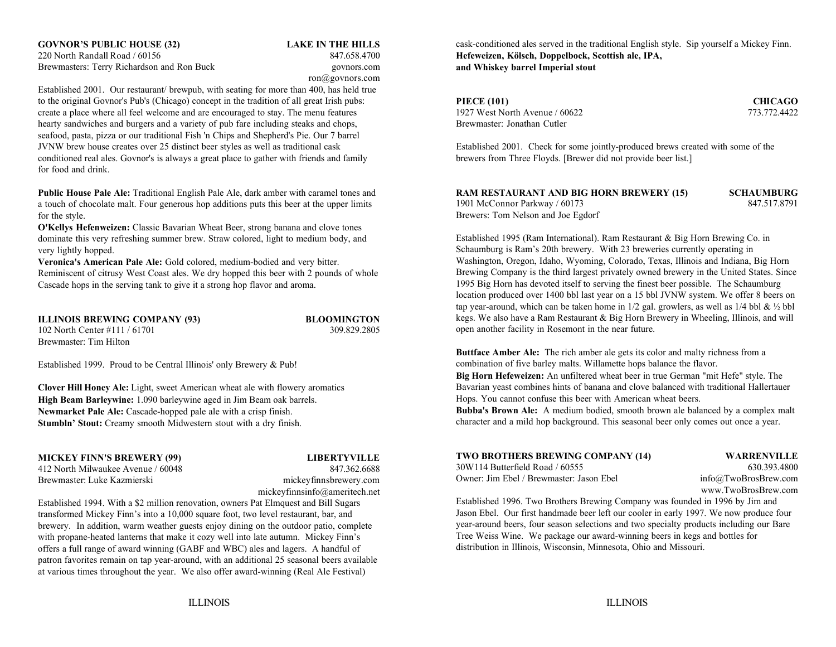### **GOVNOR'S PUBLIC HOUSE (32) LAKE IN THE HILLS** 220 North Randall Road / 60156 847.658.4700Brewmasters: Terry Richardson and Ron Buck govnors.com

ron@govnors.com

Established 2001. Our restaurant/ brewpub, with seating for more than 400, has held true to the original Govnor's Pub's (Chicago) concept in the tradition of all great Irish pubs: create a place where all feel welcome and are encouraged to stay. The menu features 1927 West North Avenue / 60622 773.772.4422 hearty sandwiches and burgers and a variety of pub fare including steaks and chops, Brewmaster: Jonathan Cutler seafood, pasta, pizza or our traditional Fish 'n Chips and Shepherd's Pie. Our 7 barrel conditioned real ales. Govnor's is always a great place to gather with friends and family brewers from Three Floyds. [Brewer did not provide beer list.] for food and drink.

**Public House Pale Ale:** Traditional English Pale Ale, dark amber with caramel tones and **R** a touch of chocolate malt. Four generous hop additions puts this beer at the upper limits for the style.

**O'Kellys Hefenweizen:** Classic Bavarian Wheat Beer, strong banana and clove tones dominate this very refreshing summer brew. Straw colored, light to medium body, and very lightly hopped.

**Veronica's American Pale Ale:** Gold colored, medium-bodied and very bitter. Reminiscent of citrusy West Coast ales. We dry hopped this beer with 2 pounds of whole Cascade hops in the serving tank to give it a strong hop flavor and aroma.

**ILLINOIS BREWING COMPANY (93) BLOOMINGTON** 102 North Center #111 / 61701 309.829.2805 Brewmaster: Tim Hilton

Established 1999. Proud to be Central Illinois' only Brewery & Pub!

**Clover Hill Honey Ale:** Light, sweet American wheat ale with flowery aromatics **High Beam Barleywine:** 1.090 barleywine aged in Jim Beam oak barrels. **Newmarket Pale Ale:** Cascade-hopped pale ale with a crisp finish. **Stumbln' Stout:** Creamy smooth Midwestern stout with a dry finish.

**MICKEY FINN'S BREWERY (99) LIBERTYVILLE**

412 North Milwaukee Avenue / 60048 847.362.6688Brewmaster: Luke Kazmierski mickeyfinnsbrewery.com

mickeyfinnsinfo@ameritech.net

Established 1994. With a \$2 million renovation, owners Pat Elmquest and Bill Sugars transformed Mickey Finn's into a 10,000 square foot, two level restaurant, bar, and brewery. In addition, warm weather guests enjoy dining on the outdoor patio, complete with propane-heated lanterns that make it cozy well into late autumn. Mickey Finn's offers a full range of award winning (GABF and WBC) ales and lagers. A handful of patron favorites remain on tap year-around, with an additional 25 seasonal beers available at various times throughout the year. We also offer award-winning (Real Ale Festival)

cask-conditioned ales served in the traditional English style. Sip yourself a Mickey Finn. **Hefeweizen, Kölsch, Doppelbock, Scottish ale, IPA, and Whiskey barrel Imperial stout**

**PIECE (101) CHICAGO**

Established 2001. Check for some jointly-produced brews created with some of the

| <b>RAM RESTAURANT AND BIG HORN BREWERY (15)</b> | <b>SCHAUMBURG</b> |
|-------------------------------------------------|-------------------|
| 1901 McConnor Parkway / 60173                   | 847.517.8791      |
| Brewers: Tom Nelson and Joe Egdorf              |                   |

Established 1995 (Ram International). Ram Restaurant & Big Horn Brewing Co. in Schaumburg is Ram's 20th brewery. With 23 breweries currently operating in Washington, Oregon, Idaho, Wyoming, Colorado, Texas, Illinois and Indiana, Big Horn Brewing Company is the third largest privately owned brewery in the United States. Since 1995 Big Horn has devoted itself to serving the finest beer possible. The Schaumburg location produced over 1400 bbl last year on a 15 bbl JVNW system. We offer 8 beers on tap year-around, which can be taken home in  $1/2$  gal. growlers, as well as  $1/4$  bbl &  $\frac{1}{2}$  bbl kegs. We also have a Ram Restaurant & Big Horn Brewery in Wheeling, Illinois, and will open another facility in Rosemont in the near future.

**Buttface Amber Ale:** The rich amber ale gets its color and malty richness from a combination of five barley malts. Willamette hops balance the flavor.

**Big Horn Hefeweizen:** An unfiltered wheat beer in true German "mit Hefe" style. The Bavarian yeast combines hints of banana and clove balanced with traditional Hallertauer Hops. You cannot confuse this beer with American wheat beers.

**Bubba's Brown Ale:** A medium bodied, smooth brown ale balanced by a complex malt character and a mild hop background. This seasonal beer only comes out once a year.

| <b>TWO BROTHERS BREWING COMPANY (14)</b> |       |
|------------------------------------------|-------|
| 30W114 Butterfield Road / 60555          |       |
| Owner: Jim Ebel / Brewmaster: Jason Ebel | info( |

**WARRENVILLE** 630.393.4800 @TwoBrosBrew.com www.TwoBrosBrew.com

Established 1996. Two Brothers Brewing Company was founded in 1996 by Jim and Jason Ebel. Our first handmade beer left our cooler in early 1997. We now produce four year-around beers, four season selections and two specialty products including our Bare Tree Weiss Wine. We package our award-winning beers in kegs and bottles for distribution in Illinois, Wisconsin, Minnesota, Ohio and Missouri.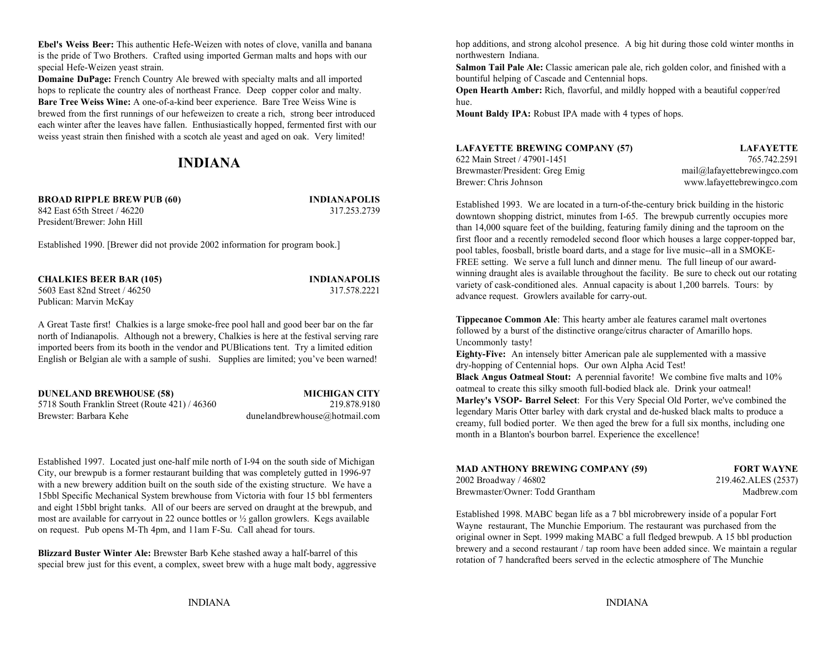**Ebel's Weiss Beer:** This authentic Hefe-Weizen with notes of clove, vanilla and banana is the pride of Two Brothers. Crafted using imported German malts and hops with our special Hefe-Weizen yeast strain. **Salmon Tail Pale Ale:** Classic american pale ale, rich golden color, and finished with a

**Domaine DuPage:** French Country Ale brewed with specialty malts and all imported hops to replicate the country ales of northeast France. Deep copper color and malty. **Open Hearth Amber:** Rich, flavorful, and mildly hopped with a beautiful copper/red **Bare Tree Weiss Wine:** A one-of-a-kind beer experience. Bare Tree Weiss Wine is brewed from the first runnings of our hefeweizen to create a rich, strong beer introduced **Mount Baldy IPA:** Robust IPA made with 4 types of hops. each winter after the leaves have fallen. Enthusiastically hopped, fermented first with our weiss yeast strain then finished with a scotch ale yeast and aged on oak. Very limited!

## **INDIANA**

**BROAD RIPPLE BREW PUB (60) INDIANAPOLIS** 842 East 65th Street / 46220 317.253.2739President/Brewer: John Hill

Established 1990. [Brewer did not provide 2002 information for program book.]

**CHALKIES BEER BAR (105) INDIANAPOLIS** 5603 East 82nd Street / 46250 317.578.2221Publican: Marvin McKay

A Great Taste first! Chalkies is a large smoke-free pool hall and good beer bar on the far north of Indianapolis. Although not a brewery, Chalkies is here at the festival serving rare imported beers from its booth in the vendor and PUBlications tent. Try a limited edition English or Belgian ale with a sample of sushi. Supplies are limited; you've been warned!

5718 South Franklin Street (Route 421) / 46360 219.878.9180 Brewster: Barbara Kehe dunelandbrewhouse@hotmail.com

**DUNELAND BREWHOUSE (58) MICHIGAN CITY**

Established 1997. Located just one-half mile north of I-94 on the south side of Michigan City, our brewpub is a former restaurant building that was completely gutted in 1996-97 with a new brewery addition built on the south side of the existing structure. We have a 15bbl Specific Mechanical System brewhouse from Victoria with four 15 bbl fermenters and eight 15bbl bright tanks. All of our beers are served on draught at the brewpub, and most are available for carryout in 22 ounce bottles or  $\frac{1}{2}$  gallon growlers. Kegs available on request. Pub opens M-Th 4pm, and 11am F-Su. Call ahead for tours.

**Blizzard Buster Winter Ale:** Brewster Barb Kehe stashed away a half-barrel of this special brew just for this event, a complex, sweet brew with a huge malt body, aggressive hop additions, and strong alcohol presence. A big hit during those cold winter months in northwestern Indiana.

bountiful helping of Cascade and Centennial hops.

hue.

| <b>LAFAYETTE BREWING COMPANY (57)</b> | <b>LAFAYETTE</b>               |
|---------------------------------------|--------------------------------|
| 622 Main Street / 47901-1451          | 765.742.2591                   |
| Brewmaster/President: Greg Emig       | $mail@$ lafayettebrewingco.com |
| Brewer: Chris Johnson                 | www.lafayettebrewingco.com     |

Established 1993. We are located in a turn-of-the-century brick building in the historic downtown shopping district, minutes from I-65. The brewpub currently occupies more than 14,000 square feet of the building, featuring family dining and the taproom on the first floor and a recently remodeled second floor which houses a large copper-topped bar, pool tables, foosball, bristle board darts, and a stage for live music--all in a SMOKE-FREE setting. We serve a full lunch and dinner menu. The full lineup of our awardwinning draught ales is available throughout the facility. Be sure to check out our rotating variety of cask-conditioned ales. Annual capacity is about 1,200 barrels. Tours: by advance request. Growlers available for carry-out.

**Tippecanoe Common Ale**: This hearty amber ale features caramel malt overtones followed by a burst of the distinctive orange/citrus character of Amarillo hops. Uncommonly tasty!

**Eighty-Five:** An intensely bitter American pale ale supplemented with a massive dry-hopping of Centennial hops. Our own Alpha Acid Test!

**Black Angus Oatmeal Stout:** A perennial favorite! We combine five malts and 10% oatmeal to create this silky smooth full-bodied black ale. Drink your oatmeal! **Marley's VSOP- Barrel Select**: For this Very Special Old Porter, we've combined the legendary Maris Otter barley with dark crystal and de-husked black malts to produce a creamy, full bodied porter. We then aged the brew for a full six months, including one month in a Blanton's bourbon barrel. Experience the excellence!

| <b>MAD ANTHONY BREWING COMPANY (59)</b> | <b>FORT WAYNE</b>   |
|-----------------------------------------|---------------------|
| 2002 Broadway / 46802                   | 219.462.ALES (2537) |
| Brewmaster/Owner: Todd Grantham         | Madbrew.com         |

Established 1998. MABC began life as a 7 bbl microbrewery inside of a popular Fort Wayne restaurant, The Munchie Emporium. The restaurant was purchased from the original owner in Sept. 1999 making MABC a full fledged brewpub. A 15 bbl production brewery and a second restaurant / tap room have been added since. We maintain a regular rotation of 7 handcrafted beers served in the eclectic atmosphere of The Munchie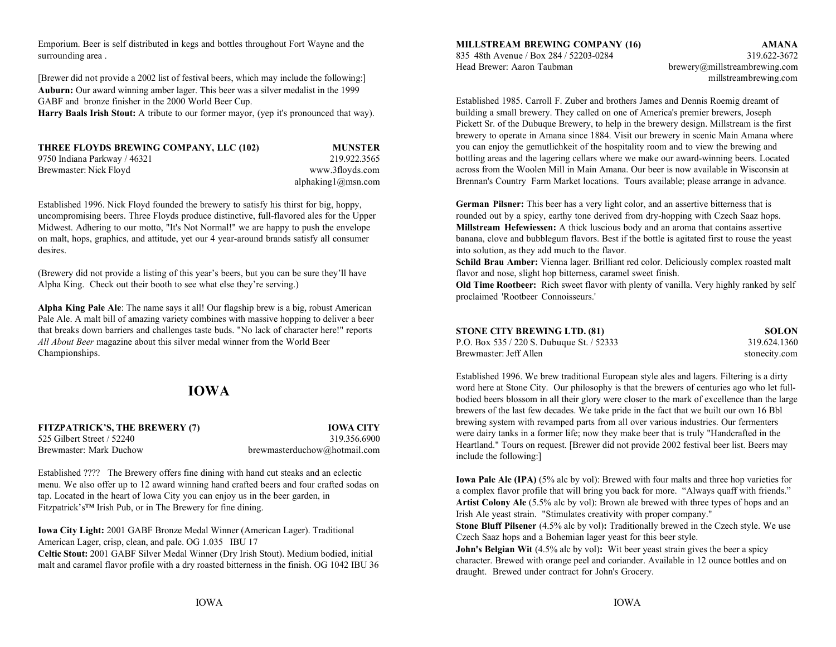Emporium. Beer is self distributed in kegs and bottles throughout Fort Wayne and the surrounding area . 835 48th Avenue / Box 284 / 52203-0284 319.622-3672

[Brewer did not provide a 2002 list of festival beers, which may include the following:] millstreambrewing.com **Auburn:** Our award winning amber lager. This beer was a silver medalist in the 1999 GABF and bronze finisher in the 2000 World Beer Cup.

Harry Baals Irish Stout: A tribute to our former mayor, (yep it's pronounced that way).

| THREE FLOYDS BREWING COMPANY, LLC (102) | <b>MUNSTER</b>            |
|-----------------------------------------|---------------------------|
| 9750 Indiana Parkway / 46321            | 219.922.3565              |
| Brewmaster: Nick Floyd                  | www.3floyds.com           |
|                                         | alphaking $1$ (a) msn.com |

Established 1996. Nick Floyd founded the brewery to satisfy his thirst for big, hoppy, uncompromising beers. Three Floyds produce distinctive, full-flavored ales for the Upper Midwest. Adhering to our motto, "It's Not Normal!" we are happy to push the envelope **Millstream Hefewiessen:** A thick luscious body and an aroma that contains assertive on malt, hops, graphics, and attitude, yet our 4 year-around brands satisfy all consumer banana, clove and bubblegum flavors. Best if the bottle is agitated first to rouse the yeast desires.

(Brewery did not provide a listing of this year's beers, but you can be sure they'll have Alpha King. Check out their booth to see what else they're serving.)

**Alpha King Pale Ale**: The name says it all! Our flagship brew is a big, robust American Pale Ale. A malt bill of amazing variety combines with massive hopping to deliver a beer that breaks down barriers and challenges taste buds. "No lack of character here!" reports *All About Beer* magazine about this silver medal winner from the World Beer Championships.

## **IOWA**

**FITZPATRICK'S, THE BREWERY (7) IOWA CITY** 525 Gilbert Street / 52240 319.356.6900Brewmaster: Mark Duchow brewmasterduchow@hotmail.com

Established ???? The Brewery offers fine dining with hand cut steaks and an eclectic menu. We also offer up to 12 award winning hand crafted beers and four crafted sodas on tap. Located in the heart of Iowa City you can enjoy us in the beer garden, in Fitzpatrick's™ Irish Pub, or in The Brewery for fine dining.

**Iowa City Light:** 2001 GABF Bronze Medal Winner (American Lager). Traditional American Lager, crisp, clean, and pale. OG 1.035 IBU 17 **Celtic Stout:** 2001 GABF Silver Medal Winner (Dry Irish Stout). Medium bodied, initial malt and caramel flavor profile with a dry roasted bitterness in the finish. OG 1042 IBU 36

#### **MILLSTREAM BREWING COMPANY (16) AMANA**

Head Brewer: Aaron Taubman brewery@millstreambrewing.com

Established 1985. Carroll F. Zuber and brothers James and Dennis Roemig dreamt of building a small brewery. They called on one of America's premier brewers, Joseph Pickett Sr. of the Dubuque Brewery, to help in the brewery design. Millstream is the first brewery to operate in Amana since 1884. Visit our brewery in scenic Main Amana where you can enjoy the gemutlichkeit of the hospitality room and to view the brewing and bottling areas and the lagering cellars where we make our award-winning beers. Located across from the Woolen Mill in Main Amana. Our beer is now available in Wisconsin atBrennan's Country Farm Market locations. Tours available; please arrange in advance.

 into solution, as they add much to the flavor. **German Pilsner:** This beer has a very light color, and an assertive bitterness that is rounded out by a spicy, earthy tone derived from dry-hopping with Czech Saaz hops.

**Schild Brau Amber:** Vienna lager. Brilliant red color. Deliciously complex roasted malt flavor and nose, slight hop bitterness, caramel sweet finish.

**Old Time Rootbeer:** Rich sweet flavor with plenty of vanilla. Very highly ranked by self proclaimed 'Rootbeer Connoisseurs.'

| <b>STONE CITY BREWING LTD. (81)</b>       | <b>SOLON</b>  |
|-------------------------------------------|---------------|
| P.O. Box 535 / 220 S. Dubuque St. / 52333 | 319.624.1360  |
| Brewmaster: Jeff Allen                    | stonecity.com |

Established 1996. We brew traditional European style ales and lagers. Filtering is a dirty word here at Stone City. Our philosophy is that the brewers of centuries ago who let fullbodied beers blossom in all their glory were closer to the mark of excellence than the large brewers of the last few decades. We take pride in the fact that we built our own 16 Bbl brewing system with revamped parts from all over various industries. Our fermenters were dairy tanks in a former life; now they make beer that is truly "Handcrafted in the Heartland." Tours on request. [Brewer did not provide 2002 festival beer list. Beers may include the following:]

**Iowa Pale Ale (IPA)** (5% alc by vol): Brewed with four malts and three hop varieties for a complex flavor profile that will bring you back for more. "Always quaff with friends." **Artist Colony Ale** (5.5% alc by vol): Brown ale brewed with three types of hops and an Irish Ale yeast strain. "Stimulates creativity with proper company."

**Stone Bluff Pilsener (4.5% alc by vol): Traditionally brewed in the Czech style. We use** Czech Saaz hops and a Bohemian lager yeast for this beer style.

**John's Belgian Wit** (4.5% alc by vol): Wit beer yeast strain gives the beer a spicy character. Brewed with orange peel and coriander. Available in 12 ounce bottles and on draught. Brewed under contract for John's Grocery.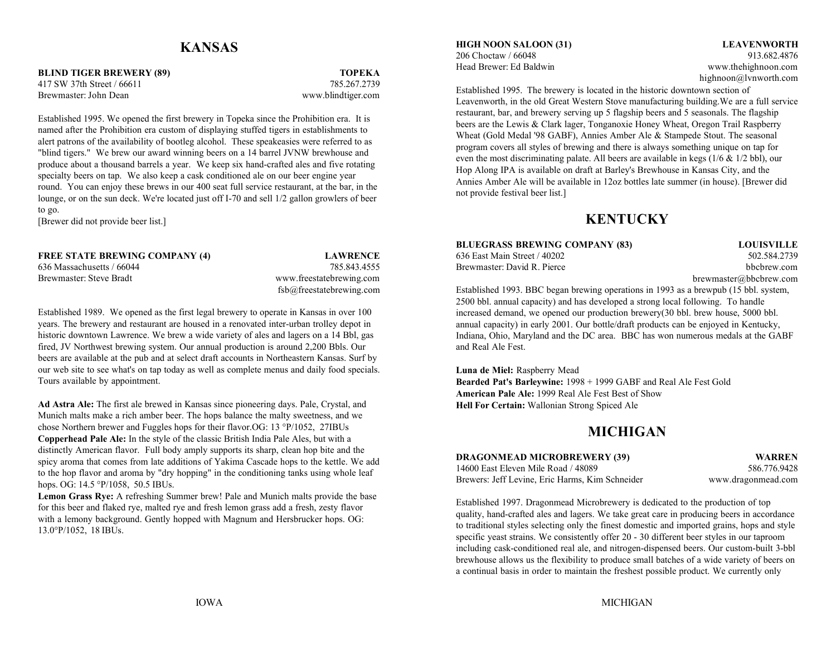### **KANSAS**

**BLIND TIGER BREWERY (89) TOPEKA** 417 SW 37th Street / 66611 785.267.2739Brewmaster: John Dean www.blindtiger.com

Established 1995. We opened the first brewery in Topeka since the Prohibition era. It is named after the Prohibition era custom of displaying stuffed tigers in establishments to alert patrons of the availability of bootleg alcohol. These speakeasies were referred to as "blind tigers." We brew our award winning beers on a 14 barrel JVNW brewhouse and produce about a thousand barrels a year. We keep six hand-crafted ales and five rotating specialty beers on tap. We also keep a cask conditioned ale on our beer engine year round. You can enjoy these brews in our 400 seat full service restaurant, at the bar, in the lounge, or on the sun deck. We're located just off I-70 and sell 1/2 gallon growlers of beer to go.

[Brewer did not provide beer list.]

FREE STATE BREWING COMPANY (4) **LAWRENCE** 636 East Main Street / 40202 502.584.2739 636 Massachusetts / 66044 785.843.4555Brewmaster: Steve Bradt www.freestatebrewing.com

fsb@freestatebrewing.com

Established 1989. We opened as the first legal brewery to operate in Kansas in over 100 years. The brewery and restaurant are housed in a renovated inter-urban trolley depot in historic downtown Lawrence. We brew a wide variety of ales and lagers on a 14 Bbl, gas fired, JV Northwest brewing system. Our annual production is around 2,200 Bbls. Our beers are available at the pub and at select draft accounts in Northeastern Kansas. Surf by our web site to see what's on tap today as well as complete menus and daily food specials. Tours available by appointment.

**Ad Astra Ale:** The first ale brewed in Kansas since pioneering days. Pale, Crystal, and Munich malts make a rich amber beer. The hops balance the malty sweetness, and we chose Northern brewer and Fuggles hops for their flavor.OG: 13 °P/1052, 27IBUs **Copperhead Pale Ale:** In the style of the classic British India Pale Ales, but with a distinctly American flavor. Full body amply supports its sharp, clean hop bite and the spicy aroma that comes from late additions of Yakima Cascade hops to the kettle. We add to the hop flavor and aroma by "dry hopping" in the conditioning tanks using whole leaf hops. OG: 14.5 °P/1058, 50.5 IBUs.

**Lemon Grass Rye:** A refreshing Summer brew! Pale and Munich malts provide the base for this beer and flaked rye, malted rye and fresh lemon grass add a fresh, zesty flavor with a lemony background. Gently hopped with Magnum and Hersbrucker hops. OG: 13.0°P/1052, 18 IBUs.

**HIGH NOON SALOON (31) LEAVENWORTH** 206 Choctaw / 66048 913.682.4876Head Brewer: Ed Baldwin www.thehighnoon.com

highnoon@lvnworth.com

Established 1995. The brewery is located in the historic downtown section of Leavenworth, in the old Great Western Stove manufacturing building.We are a full service restaurant, bar, and brewery serving up 5 flagship beers and 5 seasonals. The flagship beers are the Lewis & Clark lager, Tonganoxie Honey Wheat, Oregon Trail Raspberry Wheat (Gold Medal '98 GABF), Annies Amber Ale & Stampede Stout. The seasonal program covers all styles of brewing and there is always something unique on tap for even the most discriminating palate. All beers are available in kegs (1/6 & 1/2 bbl), our Hop Along IPA is available on draft at Barley's Brewhouse in Kansas City, and the Annies Amber Ale will be available in 12oz bottles late summer (in house). [Brewer did not provide festival beer list.]

### **KENTUCKY**

### **BLUEGRASS BREWING COMPANY (83) LOUISVILLE**

Brewmaster: David R. Pierce bbcbrew.com

brewmaster@bbcbrew.com

Established 1993. BBC began brewing operations in 1993 as a brewpub (15 bbl. system, 2500 bbl. annual capacity) and has developed a strong local following. To handle increased demand, we opened our production brewery(30 bbl. brew house, 5000 bbl. annual capacity) in early 2001. Our bottle/draft products can be enjoyed in Kentucky, Indiana, Ohio, Maryland and the DC area. BBC has won numerous medals at the GABF and Real Ale Fest.

**Luna de Miel:** Raspberry Mead **Bearded Pat's Barleywine:** 1998 + 1999 GABF and Real Ale Fest Gold **American Pale Ale:** 1999 Real Ale Fest Best of Show**Hell For Certain:** Wallonian Strong Spiced Ale

### **MICHIGAN**

#### **DRAGONMEAD MICROBREWERY (39) WARREN** 14600 East Eleven Mile Road / 48089 586.776.9428Brewers: Jeff Levine, Eric Harms, Kim Schneider www.dragonmead.com

Established 1997. Dragonmead Microbrewery is dedicated to the production of top quality, hand-crafted ales and lagers. We take great care in producing beers in accordance to traditional styles selecting only the finest domestic and imported grains, hops and style specific yeast strains. We consistently offer 20 - 30 different beer styles in our taproom including cask-conditioned real ale, and nitrogen-dispensed beers. Our custom-built 3-bbl brewhouse allows us the flexibility to produce small batches of a wide variety of beers on a continual basis in order to maintain the freshest possible product. We currently only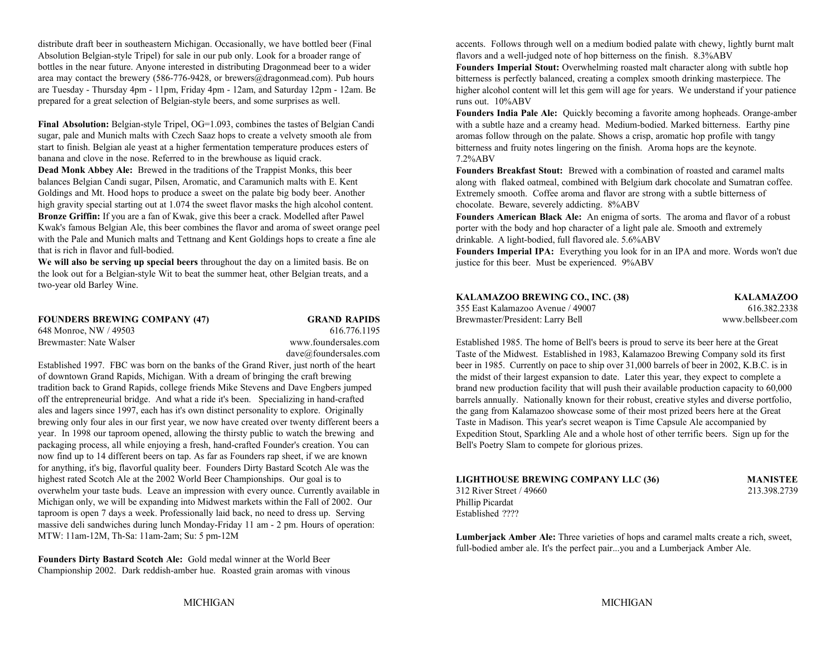distribute draft beer in southeastern Michigan. Occasionally, we have bottled beer (Final accents. Follows through well on a medium bodied palate with chewy, lightly burnt malt Absolution Belgian-style Tripel) for sale in our pub only. Look for a broader range of flavors and a well-judged note of hop bitterness on the finish. 8.3%ABV bottles in the near future. Anyone interested in distributing Dragonmead beer to a wider area may contact the brewery (586-776-9428, or brewers@dragonmead.com). Pub hours are Tuesday - Thursday 4pm - 11pm, Friday 4pm - 12am, and Saturday 12pm - 12am. Be prepared for a great selection of Belgian-style beers, and some surprises as well.

**Final Absolution:** Belgian-style Tripel, OG=1.093, combines the tastes of Belgian Candi sugar, pale and Munich malts with Czech Saaz hops to create a velvety smooth ale from start to finish. Belgian ale yeast at a higher fermentation temperature produces esters of banana and clove in the nose. Referred to in the brewhouse as liquid crack.

**Dead Monk Abbey Ale:** Brewed in the traditions of the Trappist Monks, this beer balances Belgian Candi sugar, Pilsen, Aromatic, and Caramunich malts with E. Kent Goldings and Mt. Hood hops to produce a sweet on the palate big body beer. Another high gravity special starting out at 1.074 the sweet flavor masks the high alcohol content. **Bronze Griffin:** If you are a fan of Kwak, give this beer a crack. Modelled after Pawel Kwak's famous Belgian Ale, this beer combines the flavor and aroma of sweet orange peel with the Pale and Munich malts and Tettnang and Kent Goldings hops to create a fine ale that is rich in flavor and full-bodied.

**We will also be serving up special beers** throughout the day on a limited basis. Be on the look out for a Belgian-style Wit to beat the summer heat, other Belgian treats, and a two-year old Barley Wine.

**FOUNDERS BREWING COMPANY (47) GRAND RAPIDS** Brewmaster/President: Larry Bell www.bellsbeer.com 648 Monroe, NW / 49503 616.776.1195 Brewmaster: Nate Walser www.foundersales.com

# dave@foundersales.com

Established 1997. FBC was born on the banks of the Grand River, just north of the heart of downtown Grand Rapids, Michigan. With a dream of bringing the craft brewing tradition back to Grand Rapids, college friends Mike Stevens and Dave Engbers jumped off the entrepreneurial bridge. And what a ride it's been. Specializing in hand-crafted ales and lagers since 1997, each has it's own distinct personality to explore. Originally brewing only four ales in our first year, we now have created over twenty different beers a year. In 1998 our taproom opened, allowing the thirsty public to watch the brewing and packaging process, all while enjoying a fresh, hand-crafted Founder's creation. You can now find up to 14 different beers on tap. As far as Founders rap sheet, if we are known for anything, it's big, flavorful quality beer. Founders Dirty Bastard Scotch Ale was the highest rated Scotch Ale at the 2002 World Beer Championships. Our goal is to overwhelm your taste buds. Leave an impression with every ounce. Currently available in Michigan only, we will be expanding into Midwest markets within the Fall of 2002. Our taproom is open 7 days a week. Professionally laid back, no need to dress up. Serving massive deli sandwiches during lunch Monday-Friday 11 am - 2 pm. Hours of operation: MTW: 11am-12M, Th-Sa: 11am-2am; Su: 5 pm-12M

**Founders Dirty Bastard Scotch Ale:** Gold medal winner at the World Beer Championship 2002. Dark reddish-amber hue. Roasted grain aromas with vinous

**Founders Imperial Stout:** Overwhelming roasted malt character along with subtle hop bitterness is perfectly balanced, creating a complex smooth drinking masterpiece. The higher alcohol content will let this gem will age for years. We understand if your patience runs out. 10%ABV

**Founders India Pale Ale:** Quickly becoming a favorite among hopheads. Orange-amber with a subtle haze and a creamy head. Medium-bodied. Marked bitterness. Earthy pine aromas follow through on the palate. Shows a crisp, aromatic hop profile with tangy bitterness and fruity notes lingering on the finish. Aroma hops are the keynote. 7.2%ABV

**Founders Breakfast Stout:** Brewed with a combination of roasted and caramel maltsalong with flaked oatmeal, combined with Belgium dark chocolate and Sumatran coffee. Extremely smooth. Coffee aroma and flavor are strong with a subtle bitterness of chocolate. Beware, severely addicting. 8%ABV

**Founders American Black Ale:** An enigma of sorts. The aroma and flavor of a robust porter with the body and hop character of a light pale ale. Smooth and extremely drinkable. A light-bodied, full flavored ale. 5.6%ABV

**Founders Imperial IPA:** Everything you look for in an IPA and more. Words won't due justice for this beer. Must be experienced. 9%ABV

| KALAMAZOO BREWING CO., INC. (38)  | <b>KALAMAZOO</b> |
|-----------------------------------|------------------|
| 355 East Kalamazoo Avenue / 49007 | 616.382.2338     |

Established 1985. The home of Bell's beers is proud to serve its beer here at the Great Taste of the Midwest. Established in 1983, Kalamazoo Brewing Company sold its first beer in 1985. Currently on pace to ship over 31,000 barrels of beer in 2002, K.B.C. is in the midst of their largest expansion to date. Later this year, they expect to complete a brand new production facility that will push their available production capacity to 60,000 barrels annually. Nationally known for their robust, creative styles and diverse portfolio, the gang from Kalamazoo showcase some of their most prized beers here at the Great Taste in Madison. This year's secret weapon is Time Capsule Ale accompanied by Expedition Stout, Sparkling Ale and a whole host of other terrific beers. Sign up for the Bell's Poetry Slam to compete for glorious prizes.

| LIGHTHOUSE BREWING COMPANY LLC (36) | <b>MANISTEE</b> |
|-------------------------------------|-----------------|
| 312 River Street / 49660            | 213.398.2739    |
| Phillip Picardat                    |                 |
| Established ????                    |                 |

**Lumberjack Amber Ale:** Three varieties of hops and caramel malts create a rich, sweet, full-bodied amber ale. It's the perfect pair...you and a Lumberjack Amber Ale.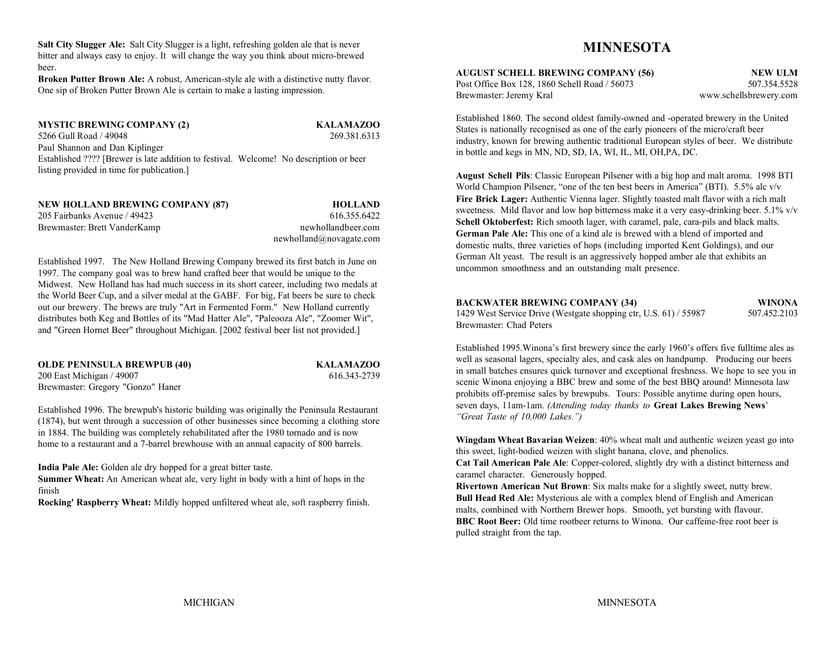**Salt City Slugger Ale:** Salt City Slugger is a light, refreshing golden ale that is never bitter and always easy to enjoy. It will change the way you think about micro-brewed beer.

**Broken Putter Brown Ale:** A robust, American-style ale with a distinctive nutty flavor. One sip of Broken Putter Brown Ale is certain to make a lasting impression.

**MYSTIC BREWING COMPANY (2) KALAMAZOO** 5266 Gull Road / 49048 269.381.6313Paul Shannon and Dan Kiplinger Established ???? [Brewer is late addition to festival. Welcome! No description or beer listing provided in time for publication.]

| NEW HOLLAND BREWING COMPANY (87) | <b>HOLLAND</b>          |
|----------------------------------|-------------------------|
| 205 Fairbanks Avenue / 49423     | 616.355.6422            |
| Brewmaster: Brett VanderKamp     | newhollandbeer.com      |
|                                  | newholdand@nowagate.com |

Established 1997. The New Holland Brewing Company brewed its first batch in June on 1997. The company goal was to brew hand crafted beer that would be unique to the Midwest. New Holland has had much success in its short career, including two medals at the World Beer Cup, and a silver medal at the GABF. For big, Fat beers be sure to check out our brewery. The brews are truly "Art in Fermented Form." New Holland currently distributes both Keg and Bottles of its "Mad Hatter Ale", "Paleooza Ale", "Zoomer Wit", and "Green Hornet Beer" throughout Michigan. [2002 festival beer list not provided.]

| <b>OLDE PENINSULA BREWPUB (40)</b> |
|------------------------------------|
| 200 East Michigan / 49007          |
| Brewmaster: Gregory "Gonzo" Haner  |

**OLDE PENINSULA BREWPUB (40) KALAMAZOO** 616.343-2739

Established 1996. The brewpub's historic building was originally the Peninsula Restaurant (1874), but went through a succession of other businesses since becoming a clothing store in 1884. The building was completely rehabilitated after the 1980 tornado and is now home to a restaurant and a 7-barrel brewhouse with an annual capacity of 800 barrels.

**India Pale Ale:** Golden ale dry hopped for a great bitter taste.

**Summer Wheat:** An American wheat ale, very light in body with a hint of hops in the finish

**Rocking' Raspberry Wheat:** Mildly hopped unfiltered wheat ale, soft raspberry finish.

## **MINNESOTA**

**AUGUST SCHELL BREWING COMPANY (56) NEW ULM** Post Office Box 128, 1860 Schell Road / 56073 507.354.5528 Brewmaster: Jeremy Kral www.schellsbrewery.com

Established 1860. The second oldest family-owned and -operated brewery in the United States is nationally recognised as one of the early pioneers of the micro/craft beer industry, known for brewing authentic traditional European styles of beer. We distribute in bottle and kegs in MN, ND, SD, IA, WI, IL, MI, OH,PA, DC.

**August Schell Pils**: Classic European Pilsener with a big hop and malt aroma. 1998 BTI World Champion Pilsener, "one of the ten best beers in America" (BTI). 5.5% alc v/v **Fire Brick Lager:** Authentic Vienna lager. Slightly toasted malt flavor with a rich malt sweetness. Mild flavor and low hop bitterness make it a very easy-drinking beer. 5.1% v/v Schell Oktoberfest: Rich smooth lager, with caramel, pale, cara-pils and black malts. **German Pale Ale:** This one of a kind ale is brewed with a blend of imported and domestic malts, three varieties of hops (including imported Kent Goldings), and our German Alt yeast. The result is an aggressively hopped amber ale that exhibits an uncommon smoothness and an outstanding malt presence.

### **BACKWATER BREWING COMPANY (34) WINONA**

1429 West Service Drive (Westgate shopping ctr, U.S. 61) / 55987 507.452.2103 Brewmaster: Chad Peters

Established 1995.Winona's first brewery since the early 1960's offers five fulltime ales as well as seasonal lagers, specialty ales, and cask ales on handpump. Producing our beers in small batches ensures quick turnover and exceptional freshness. We hope to see you in scenic Winona enjoying a BBC brew and some of the best BBQ around! Minnesota law prohibits off-premise sales by brewpubs. Tours: Possible anytime during open hours, seven days, 11am-1am. *(Attending today thanks to* **Great Lakes Brewing News**' *"Great Taste of 10,000 Lakes.")*

**Wingdam Wheat Bavarian Weizen**: 40% wheat malt and authentic weizen yeast go into this sweet, light-bodied weizen with slight banana, clove, and phenolics.

**Cat Tail American Pale Ale**: Copper-colored, slightly dry with a distinct bitterness and caramel character. Generously hopped.

**Rivertown American Nut Brown**: Six malts make for a slightly sweet, nutty brew. **Bull Head Red Ale:** Mysterious ale with a complex blend of English and American malts, combined with Northern Brewer hops. Smooth, yet bursting with flavour. **BBC Root Beer:** Old time rootbeer returns to Winona. Our caffeine-free root beer ispulled straight from the tap.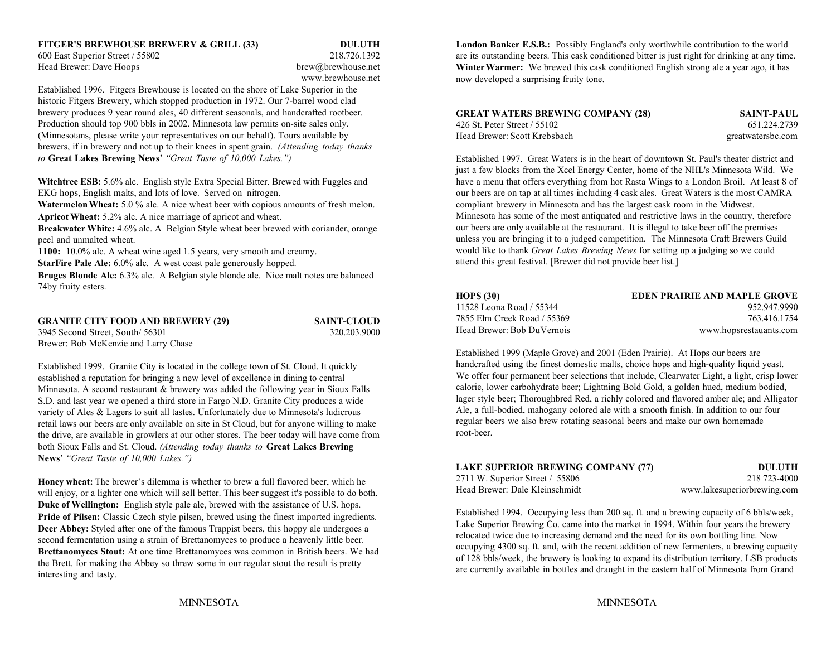600 East Superior Street / 55802 218.726.1392 Head Brewer: Dave Hoops brew abrew abrew abrew abrew abrew abrew abrew abrew abrew abrew abrew as the brew abrew abrew abrew as  $\mathbb{R}^n$ 

# www.brewhouse.net

Established 1996. Fitgers Brewhouse is located on the shore of Lake Superior in the historic Fitgers Brewery, which stopped production in 1972. Our 7-barrel wood clad brewery produces 9 year round ales, 40 different seasonals, and handcrafted rootbeer. Production should top 900 bbls in 2002. Minnesota law permits on-site sales only. (Minnesotans, please write your representatives on our behalf). Tours available by brewers, if in brewery and not up to their knees in spent grain. *(Attending today thanks to* **Great Lakes Brewing News**' *"Great Taste of 10,000 Lakes.")*

**Watermelon Wheat:** 5.0 % alc. A nice wheat beer with copious amounts of fresh melon. **Apricot Wheat:** 5.2% alc. A nice marriage of apricot and wheat.

**Breakwater White:** 4.6% alc. A Belgian Style wheat beer brewed with coriander, orange peel and unmalted wheat.

**1100:** 10.0% alc. A wheat wine aged 1.5 years, very smooth and creamy.

**StarFire Pale Ale:** 6.0% alc. A west coast pale generously hopped.

**Bruges Blonde Ale:** 6.3% alc. A Belgian style blonde ale. Nice malt notes are balanced 74by fruity esters.

**GRANITE CITY FOOD AND BREWERY (29) SAINT-CLOUD** 3945 Second Street, South/ 56301 320.203.9000 Brewer: Bob McKenzie and Larry Chase

Established 1999. Granite City is located in the college town of St. Cloud. It quickly established a reputation for bringing a new level of excellence in dining to central Minnesota. A second restaurant & brewery was added the following year in Sioux Falls S.D. and last year we opened a third store in Fargo N.D. Granite City produces a wide variety of Ales & Lagers to suit all tastes. Unfortunately due to Minnesota's ludicrous retail laws our beers are only available on site in St Cloud, but for anyone willing to make the drive, are available in growlers at our other stores. The beer today will have come from both Sioux Falls and St. Cloud. *(Attending today thanks to* **Great Lakes Brewing News**' *"Great Taste of 10,000 Lakes.")*

**Honey wheat:** The brewer's dilemma is whether to brew a full flavored beer, which he will enjoy, or a lighter one which will sell better. This beer suggest it's possible to do both. **Duke of Wellington:** English style pale ale, brewed with the assistance of U.S. hops. **Pride of Pilsen:** Classic Czech style pilsen, brewed using the finest imported ingredients. **Deer Abbey:** Styled after one of the famous Trappist beers, this hoppy ale undergoes a second fermentation using a strain of Brettanomyces to produce a heavenly little beer. **Brettanomyces Stout:** At one time Brettanomyces was common in British beers. We had the Brett. for making the Abbey so threw some in our regular stout the result is pretty interesting and tasty.

**FITGER'S BREWHOUSE BREWERY & GRILL (33) DULUTH London Banker E.S.B.: Possibly England's only worthwhile contribution to the world** are its outstanding beers. This cask conditioned bitter is just right for drinking at any time. **Winter Warmer:** We brewed this cask conditioned English strong ale a year ago, it has now developed a surprising fruity tone.

| <b>GREAT WATERS BREWING COMPANY (28)</b> | <b>SAINT-PAUL</b> |
|------------------------------------------|-------------------|
| 426 St. Peter Street / 55102             | 651.224.2739      |
| Head Brewer: Scott Krebsbach             | greatwatersbc.com |

Witchtree ESB: 5.6% alc. English style Extra Special Bitter. Brewed with Fuggles and have a menu that offers everything from hot Rasta Wings to a London Broil. At least 8 of EKG hops, English malts, and lots of love. Served on nitrogen. our beers are on tap at all times including 4 cask ales. Great Waters is the most CAMRA Established 1997. Great Waters is in the heart of downtown St. Paul's theater district andjust a few blocks from the Xcel Energy Center, home of the NHL's Minnesota Wild. We compliant brewery in Minnesota and has the largest cask room in the Midwest. Minnesota has some of the most antiquated and restrictive laws in the country, therefore our beers are only available at the restaurant. It is illegal to take beer off the premises unless you are bringing it to a judged competition. The Minnesota Craft Brewers Guild would like to thank *Great Lakes Brewing News* for setting up a judging so we could attend this great festival. [Brewer did not provide beer list.]

| <b>HOPS (30)</b>            | EDEN PRAIRIE AND MAPLE GROVE |
|-----------------------------|------------------------------|
| 11528 Leona Road / 55344    | 952.947.9990                 |
| 7855 Elm Creek Road / 55369 | 763.416.1754                 |
| Head Brewer: Bob DuVernois  | www.hopsrestauants.com       |

Established 1999 (Maple Grove) and 2001 (Eden Prairie). At Hops our beers are handcrafted using the finest domestic malts, choice hops and high-quality liquid yeast. We offer four permanent beer selections that include, Clearwater Light, a light, crisp lower calorie, lower carbohydrate beer; Lightning Bold Gold, a golden hued, medium bodied, lager style beer; Thoroughbred Red, a richly colored and flavored amber ale; and Alligator Ale, a full-bodied, mahogany colored ale with a smooth finish. In addition to our four regular beers we also brew rotating seasonal beers and make our own homemade root-beer.

| <b>LAKE SUPERIOR BREWING COMPANY (77)</b> | <b>DULUTH</b>               |
|-------------------------------------------|-----------------------------|
| 2711 W. Superior Street $/$ 55806         | 218 723-4000                |
| Head Brewer: Dale Kleinschmidt            | www.lakesuperiorbrewing.com |

Established 1994. Occupying less than 200 sq. ft. and a brewing capacity of 6 bbls/week, Lake Superior Brewing Co. came into the market in 1994. Within four years the brewery relocated twice due to increasing demand and the need for its own bottling line. Now occupying 4300 sq. ft. and, with the recent addition of new fermenters, a brewing capacity of 128 bbls/week, the brewery is looking to expand its distribution territory. LSB products are currently available in bottles and draught in the eastern half of Minnesota from Grand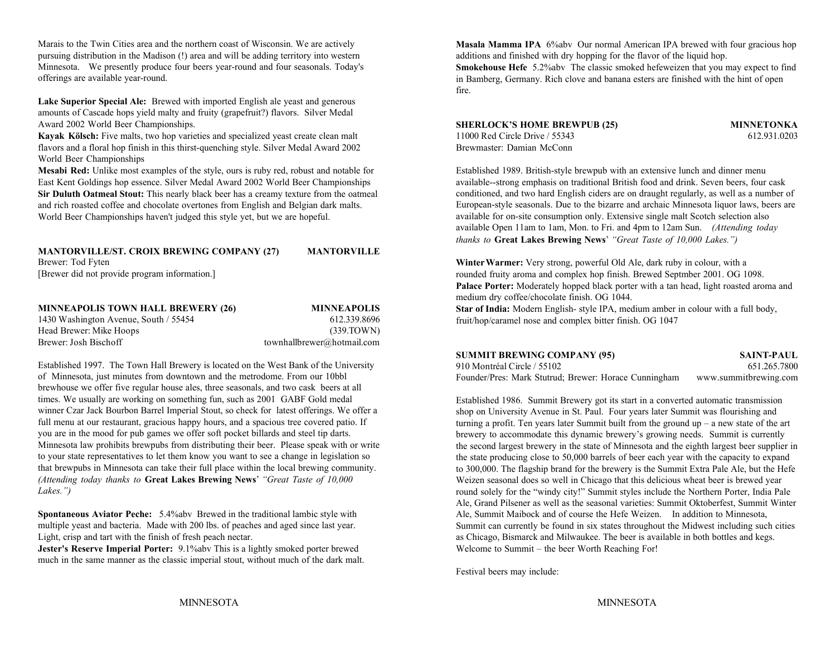Marais to the Twin Cities area and the northern coast of Wisconsin. We are actively pursuing distribution in the Madison (!) area and will be adding territory into western Minnesota. We presently produce four beers year-round and four seasonals. Today's offerings are available year-round.

Lake Superior Special Ale: Brewed with imported English ale yeast and generous amounts of Cascade hops yield malty and fruity (grapefruit?) flavors. Silver Medal Award 2002 World Beer Championships.

**Kayak Kölsch:** Five malts, two hop varieties and specialized yeast create clean malt 11000 Red Circle Drive / 55343 612.931.0203 flavors and a floral hop finish in this thirst-quenching style. Silver Medal Award 2002 World Beer Championships

**Mesabi Red:** Unlike most examples of the style, ours is ruby red, robust and notable for Established 1989. British-style brewpub with an extensive lunch and dinner menu East Kent Goldings hop essence. Silver Medal Award 2002 World Beer Championships available--strong emphasis on traditional British food and drink. Seven beers, four cask **Sir Duluth Oatmeal Stout:** This nearly black beer has a creamy texture from the oatmeal and rich roasted coffee and chocolate overtones from English and Belgian dark malts. World Beer Championships haven't judged this style yet, but we are hopeful.

#### **MANTORVILLE/ST. CROIX BREWING COMPANY (27) MANTORVILLE**

[Brewer did not provide program information.]

Brewer: Tod Fyten

| <b>MINNEAPOLIS TOWN HALL BREWERY (26)</b> | <b>MINNEAPOLIS</b>         |
|-------------------------------------------|----------------------------|
| 1430 Washington Avenue, South / 55454     | 612.339.8696               |
| Head Brewer: Mike Hoops                   | (339.TOWN)                 |
| Brewer: Josh Bischoff                     | townhallbrewer@hotmail.com |

Established 1997. The Town Hall Brewery is located on the West Bank of the University of Minnesota, just minutes from downtown and the metrodome. From our 10bbl brewhouse we offer five regular house ales, three seasonals, and two cask beers at all times. We usually are working on something fun, such as 2001 GABF Gold medal winner Czar Jack Bourbon Barrel Imperial Stout, so check for latest offerings. We offer a full menu at our restaurant, gracious happy hours, and a spacious tree covered patio. If you are in the mood for pub games we offer soft pocket billards and steel tip darts. Minnesota law prohibits brewpubs from distributing their beer. Please speak with or write to your state representatives to let them know you want to see a change in legislation so that brewpubs in Minnesota can take their full place within the local brewing community. *(Attending today thanks to* **Great Lakes Brewing News**' *"Great Taste of 10,000 Lakes.")*

**Spontaneous Aviator Peche:** 5.4%abv Brewed in the traditional lambic style with multiple yeast and bacteria. Made with 200 lbs. of peaches and aged since last year. Light, crisp and tart with the finish of fresh peach nectar.

**Jester's Reserve Imperial Porter:** 9.1%abv This is a lightly smoked porter brewed Welcome to Summit – the beer Worth Reaching For! much in the same manner as the classic imperial stout, without much of the dark malt.

**Masala Mamma IPA** 6%abv Our normal American IPA brewed with four gracious hop additions and finished with dry hopping for the flavor of the liquid hop.

**Smokehouse Hefe** 5.2%abv The classic smoked hefeweizen that you may expect to find in Bamberg, Germany. Rich clove and banana esters are finished with the hint of open fire.

### **SHERLOCK'S HOME BREWPUB (25) MINNETONKA**

Brewmaster: Damian McConn

conditioned, and two hard English ciders are on draught regularly, as well as a number of European-style seasonals. Due to the bizarre and archaic Minnesota liquor laws, beers are available for on-site consumption only. Extensive single malt Scotch selection also available Open 11am to 1am, Mon. to Fri. and 4pm to 12am Sun. *(Attending today thanks to* **Great Lakes Brewing News**' *"Great Taste of 10,000 Lakes.")*

**Winter Warmer:** Very strong, powerful Old Ale, dark ruby in colour, with a rounded fruity aroma and complex hop finish. Brewed Septmber 2001. OG 1098. **Palace Porter:** Moderately hopped black porter with a tan head, light roasted aroma and medium dry coffee/chocolate finish. OG 1044.

**Star of India:** Modern English- style IPA, medium amber in colour with a full body, fruit/hop/caramel nose and complex bitter finish. OG 1047

### **SUMMIT BREWING COMPANY (95) SAINT-PAUL**

910 Montréal Circle / 55102 651.265.7800Founder/Pres: Mark Stutrud; Brewer: Horace Cunningham www.summitbrewing.com

Established 1986. Summit Brewery got its start in a converted automatic transmission shop on University Avenue in St. Paul. Four years later Summit was flourishing and turning a profit. Ten years later Summit built from the ground up – a new state of the art brewery to accommodate this dynamic brewery's growing needs. Summit is currently the second largest brewery in the state of Minnesota and the eighth largest beer supplier in the state producing close to 50,000 barrels of beer each year with the capacity to expand to 300,000. The flagship brand for the brewery is the Summit Extra Pale Ale, but the Hefe Weizen seasonal does so well in Chicago that this delicious wheat beer is brewed year round solely for the "windy city!" Summit styles include the Northern Porter, India Pale Ale, Grand Pilsener as well as the seasonal varieties: Summit Oktoberfest, Summit Winter Ale, Summit Maibock and of course the Hefe Weizen. In addition to Minnesota, Summit can currently be found in six states throughout the Midwest including such cities as Chicago, Bismarck and Milwaukee. The beer is available in both bottles and kegs.

Festival beers may include: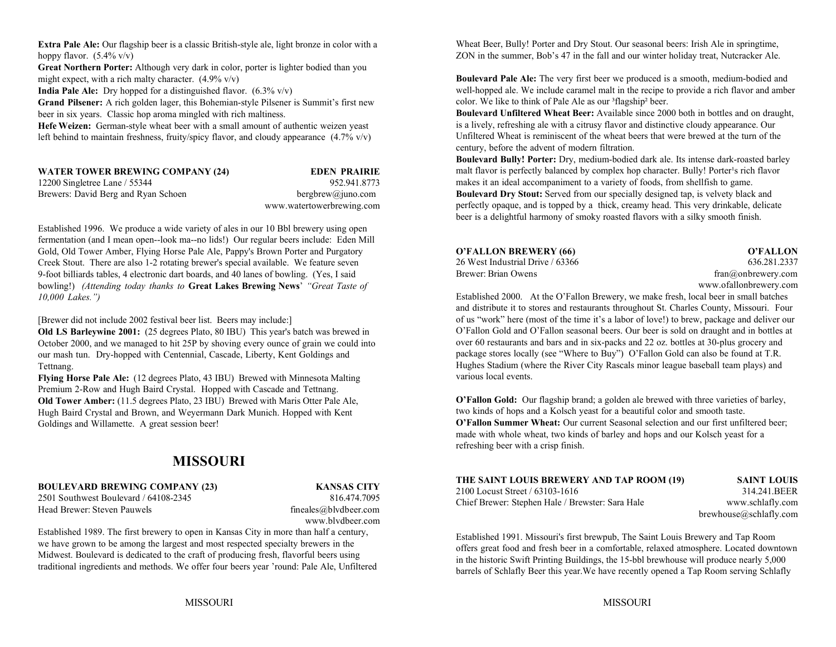**Extra Pale Ale:** Our flagship beer is a classic British-style ale, light bronze in color with a hoppy flavor.  $(5.4\% \text{ v/v})$ 

**Great Northern Porter:** Although very dark in color, porter is lighter bodied than you might expect, with a rich malty character.  $(4.9\%$  v/v)

**India Pale Ale:** Dry hopped for a distinguished flavor. (6.3% v/v)

**Grand Pilsener:** A rich golden lager, this Bohemian-style Pilsener is Summit's first new beer in six years. Classic hop aroma mingled with rich maltiness.

**Hefe Weizen:** German-style wheat beer with a small amount of authentic weizen yeast left behind to maintain freshness, fruity/spicy flavor, and cloudy appearance  $(4.7\% \text{ v/v})$ 

| <b>WATER TOWER BREWING COMPANY (24)</b> | <b>EDEN PRAIRIE</b>       |
|-----------------------------------------|---------------------------|
| 12200 Singletree Lane / 55344           | 952.941.8773              |
| Brewers: David Berg and Ryan Schoen     | bergbrew@juno.com         |
|                                         | www.watertowerbrewing.com |

Established 1996. We produce a wide variety of ales in our 10 Bbl brewery using open fermentation (and I mean open--look ma--no lids!) Our regular beers include: Eden Mill Gold, Old Tower Amber, Flying Horse Pale Ale, Pappy's Brown Porter and Purgatory **O'FALLON BREWERY (66) O'FALLON** Creek Stout. There are also 1-2 rotating brewer's special available. We feature seven 9-foot billiards tables, 4 electronic dart boards, and 40 lanes of bowling. (Yes, I said bowling!) *(Attending today thanks to* **Great Lakes Brewing News**' *"Great Taste of 10,000 Lakes.")*

[Brewer did not include 2002 festival beer list. Beers may include:]

**Old LS Barleywine 2001:** (25 degrees Plato, 80 IBU) This year's batch was brewed in October 2000, and we managed to hit 25P by shoving every ounce of grain we could into our mash tun. Dry-hopped with Centennial, Cascade, Liberty, Kent Goldings and Tettnang.

**Flying Horse Pale Ale:** (12 degrees Plato, 43 IBU) Brewed with Minnesota Malting Premium 2-Row and Hugh Baird Crystal. Hopped with Cascade and Tettnang. **Old Tower Amber:** (11.5 degrees Plato, 23 IBU) Brewed with Maris Otter Pale Ale, Hugh Baird Crystal and Brown, and Weyermann Dark Munich. Hopped with Kent Goldings and Willamette. A great session beer!

## **MISSOURI**

### **BOULEVARD BREWING COMPANY (23) KANSAS CITY**

2501 Southwest Boulevard / 64108-2345 816.474.7095Head Brewer: Steven Pauwels **fineales** fineales ably deer.com

www.blvdbeer.com

Established 1989. The first brewery to open in Kansas City in more than half a century, we have grown to be among the largest and most respected specialty brewers in the Midwest. Boulevard is dedicated to the craft of producing fresh, flavorful beers using traditional ingredients and methods. We offer four beers year 'round: Pale Ale, Unfiltered

Wheat Beer, Bully! Porter and Dry Stout. Our seasonal beers: Irish Ale in springtime, ZON in the summer, Bob's 47 in the fall and our winter holiday treat, Nutcracker Ale.

**Boulevard Pale Ale:** The very first beer we produced is a smooth, medium-bodied and well-hopped ale. We include caramel malt in the recipe to provide a rich flavor and amber color. We like to think of Pale Ale as our <sup>3</sup>flagship<sup>2</sup> beer.

**Boulevard Unfiltered Wheat Beer:** Available since 2000 both in bottles and on draught, is a lively, refreshing ale with a citrusy flavor and distinctive cloudy appearance. Our Unfiltered Wheat is reminiscent of the wheat beers that were brewed at the turn of thecentury, before the advent of modern filtration.

**Boulevard Bully! Porter:** Dry, medium-bodied dark ale. Its intense dark-roasted barley malt flavor is perfectly balanced by complex hop character. Bully! Porter's rich flavor makes it an ideal accompaniment to a variety of foods, from shellfish to game. **Boulevard Dry Stout:** Served from our specially designed tap, is velvety black and perfectly opaque, and is topped by a thick, creamy head. This very drinkable, delicate beer is a delightful harmony of smoky roasted flavors with a silky smooth finish.

| O'FALLON BREWERY (66)            | O'FALLON                      |
|----------------------------------|-------------------------------|
| 26 West Industrial Drive / 63366 | 636.281.2337                  |
| Brewer: Brian Owens              | $fran(\omega)$ on brewery com |
|                                  | www.ofallonbrewery.com        |

Established 2000. At the O'Fallon Brewery, we make fresh, local beer in small batches and distribute it to stores and restaurants throughout St. Charles County, Missouri. Four of us "work" here (most of the time it's a labor of love!) to brew, package and deliver our O'Fallon Gold and O'Fallon seasonal beers. Our beer is sold on draught and in bottles at over 60 restaurants and bars and in six-packs and 22 oz. bottles at 30-plus grocery and package stores locally (see "Where to Buy") O'Fallon Gold can also be found at T.R. Hughes Stadium (where the River City Rascals minor league baseball team plays) and various local events.

**O'Fallon Gold:** Our flagship brand; a golden ale brewed with three varieties of barley, two kinds of hops and a Kolsch yeast for a beautiful color and smooth taste. **O'Fallon Summer Wheat:** Our current Seasonal selection and our first unfiltered beer; made with whole wheat, two kinds of barley and hops and our Kolsch yeast for a refreshing beer with a crisp finish.

| THE SAINT LOUIS BREWERY AND TAP ROOM (19)        | <b>SAINT LOUIS</b>     |
|--------------------------------------------------|------------------------|
| 2100 Locust Street / 63103-1616                  | 314.241.BEER           |
| Chief Brewer: Stephen Hale / Brewster: Sara Hale | www.schlafly.com       |
|                                                  | brewhouse@schlafly.com |

Established 1991. Missouri's first brewpub, The Saint Louis Brewery and Tap Room offers great food and fresh beer in a comfortable, relaxed atmosphere. Located downtown in the historic Swift Printing Buildings, the 15-bbl brewhouse will produce nearly 5,000 barrels of Schlafly Beer this year.We have recently opened a Tap Room serving Schlafly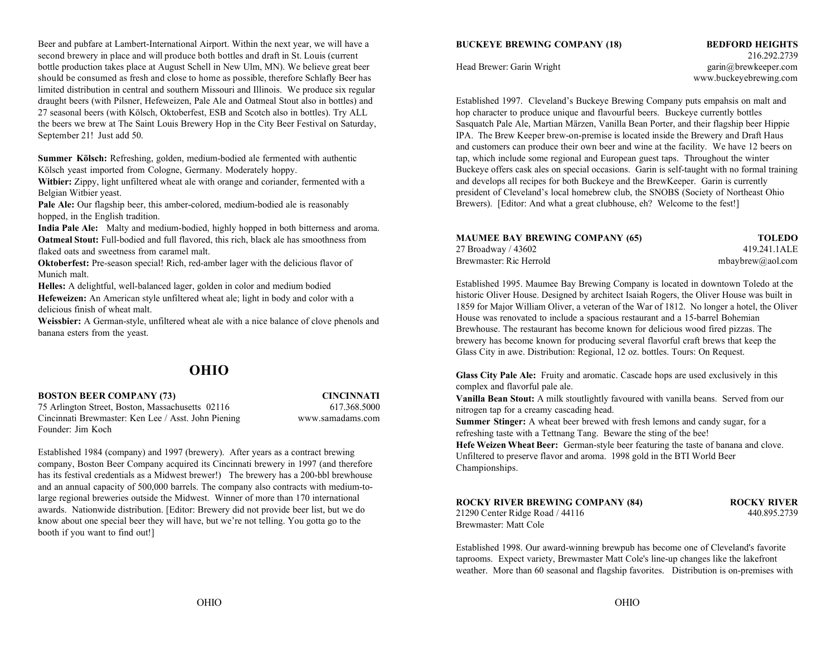Beer and pubfare at Lambert-International Airport. Within the next year, we will have a second brewery in place and will produce both bottles and draft in St. Louis (current 216.292.2739) bottle production takes place at August Schell in New Ulm, MN). We believe great beer Head Brewer: Garin Wright garin Wright garin@brewkeeper.com should be consumed as fresh and close to home as possible, therefore Schlafly Beer has www.buckeyebrewing.com limited distribution in central and southern Missouri and Illinois. We produce six regular draught beers (with Pilsner, Hefeweizen, Pale Ale and Oatmeal Stout also in bottles) and Established 1997. Cleveland's Buckeye Brewing Company puts empahsis on malt and 27 seasonal beers (with Kölsch, Oktoberfest, ESB and Scotch also in bottles). Try ALL hop character to produce unique and flavourful beers. Buckeye currently bottles the beers we brew at The Saint Louis Brewery Hop in the City Beer Festival on Saturday, Sasquatch Pale Ale, Martian Märzen, Vanilla Bean Porter, and their flagship beer Hippie September 21! Just add 50. IPA. The Brew Keeper brew-on-premise is located inside the Brewery and Draft Haus

**Summer Kölsch:** Refreshing, golden, medium-bodied ale fermented with authentic Kölsch yeast imported from Cologne, Germany. Moderately hoppy.

**Witbier:** Zippy, light unfiltered wheat ale with orange and coriander, fermented with a Belgian Witbier yeast.

**Pale Ale:** Our flagship beer, this amber-colored, medium-bodied ale is reasonably hopped, in the English tradition.

**India Pale Ale:** Malty and medium-bodied, highly hopped in both bitterness and aroma. **Oatmeal Stout:** Full-bodied and full flavored, this rich, black ale has smoothness from flaked oats and sweetness from caramel malt.

**Oktoberfest:** Pre-season special! Rich, red-amber lager with the delicious flavor of Munich malt.

**Helles:** A delightful, well-balanced lager, golden in color and medium bodied

**Hefeweizen:** An American style unfiltered wheat ale; light in body and color with a delicious finish of wheat malt.

**Weissbier:** A German-style, unfiltered wheat ale with a nice balance of clove phenols and banana esters from the yeast.

### **OHIO**

### **BOSTON BEER COMPANY (73) CINCINNATI**

75 Arlington Street, Boston, Massachusetts 02116 617.368.5000 Cincinnati Brewmaster: Ken Lee / Asst. John Piening www.samadams.com Founder: Jim Koch

Established 1984 (company) and 1997 (brewery). After years as a contract brewing company, Boston Beer Company acquired its Cincinnati brewery in 1997 (and therefore has its festival credentials as a Midwest brewer!) The brewery has a 200-bbl brewhouse and an annual capacity of 500,000 barrels. The company also contracts with medium-tolarge regional breweries outside the Midwest. Winner of more than 170 international awards. Nationwide distribution. [Editor: Brewery did not provide beer list, but we do know about one special beer they will have, but we're not telling. You gotta go to the booth if you want to find out!]

### **BUCKEYE BREWING COMPANY (18) BEDFORD HEIGHTS**

and customers can produce their own beer and wine at the facility. We have 12 beers on tap, which include some regional and European guest taps. Throughout the winter Buckeye offers cask ales on special occasions. Garin is self-taught with no formal training and develops all recipes for both Buckeye and the BrewKeeper. Garin is currently president of Cleveland's local homebrew club, the SNOBS (Society of Northeast Ohio Brewers). [Editor: And what a great clubhouse, eh? Welcome to the fest!]

| <b>MAUMEE BAY BREWING COMPANY (65)</b> | <b>TOLEDO</b>    |
|----------------------------------------|------------------|
| 27 Broadway / 43602                    | 419.241.1ALE     |
| Brewmaster: Ric Herrold                | mbaybrew@aol.com |

Established 1995. Maumee Bay Brewing Company is located in downtown Toledo at the historic Oliver House. Designed by architect Isaiah Rogers, the Oliver House was built in 1859 for Major William Oliver, a veteran of the War of 1812. No longer a hotel, the Oliver House was renovated to include a spacious restaurant and a 15-barrel Bohemian Brewhouse. The restaurant has become known for delicious wood fired pizzas. The brewery has become known for producing several flavorful craft brews that keep the Glass City in awe. Distribution: Regional, 12 oz. bottles. Tours: On Request.

**Glass City Pale Ale:** Fruity and aromatic. Cascade hops are used exclusively in this complex and flavorful pale ale.

**Vanilla Bean Stout:** A milk stoutlightly favoured with vanilla beans. Served from our nitrogen tap for a creamy cascading head.

**Summer Stinger:** A wheat beer brewed with fresh lemons and candy sugar, for a refreshing taste with a Tettnang Tang. Beware the sting of the bee!

**Hefe Weizen Wheat Beer:** German-style beer featuring the taste of banana and clove. Unfiltered to preserve flavor and aroma. 1998 gold in the BTI World Beer Championships.

#### **ROCKY RIVER BREWING COMPANY (84) ROCKY RIVER**

21290 Center Ridge Road / 44116 440.895.2739 Brewmaster: Matt Cole

Established 1998. Our award-winning brewpub has become one of Cleveland's favorite taprooms. Expect variety, Brewmaster Matt Cole's line-up changes like the lakefront weather. More than 60 seasonal and flagship favorites. Distribution is on-premises with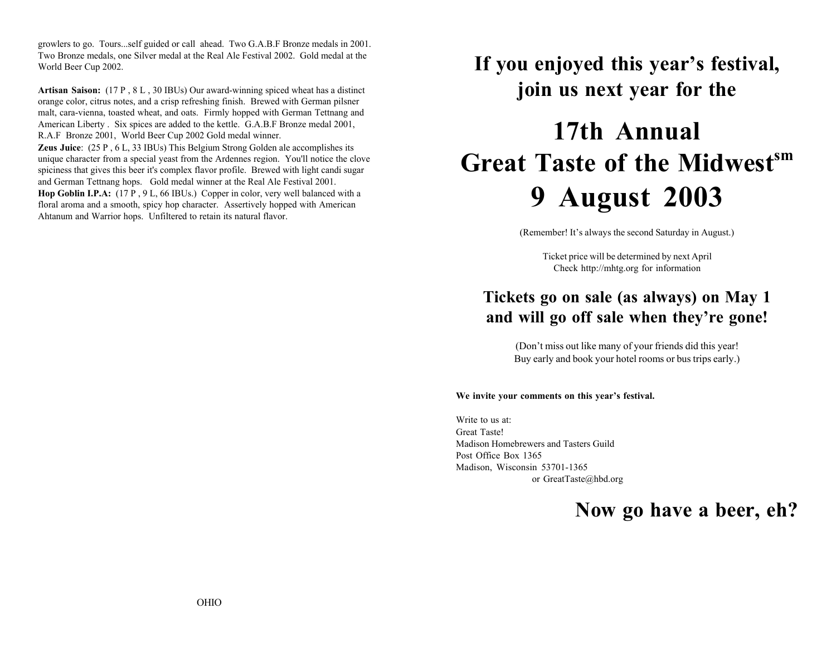growlers to go. Tours...self guided or call ahead. Two G.A.B.F Bronze medals in 2001. Two Bronze medals, one Silver medal at the Real Ale Festival 2002. Gold medal at the World Beer Cup 2002.

**Artisan Saison:** (17 P , 8 L , 30 IBUs) Our award-winning spiced wheat has a distinct orange color, citrus notes, and a crisp refreshing finish. Brewed with German pilsner malt, cara-vienna, toasted wheat, and oats. Firmly hopped with German Tettnang and American Liberty . Six spices are added to the kettle. G.A.B.F Bronze medal 2001, R.A.F Bronze 2001, World Beer Cup 2002 Gold medal winner.

**Zeus Juice**: (25 P , 6 L, 33 IBUs) This Belgium Strong Golden ale accomplishes its unique character from a special yeast from the Ardennes region. You'll notice the clove spiciness that gives this beer it's complex flavor profile. Brewed with light candi sugar and German Tettnang hops. Gold medal winner at the Real Ale Festival 2001.

**Hop Goblin I.P.A:** (17 P , 9 L, 66 IBUs.) Copper in color, very well balanced with a floral aroma and a smooth, spicy hop character. Assertively hopped with American Ahtanum and Warrior hops. Unfiltered to retain its natural flavor.

## **If you enjoyed this year's festival, join us next year for the**

# **17th Annual Great Taste of the Midwest**<sup>sm</sup> **9 August 2003**

(Remember! It's always the second Saturday in August.)

Ticket price will be determined by next April Check http://mhtg.org for information

## **Tickets go on sale (as always) on May 1 and will go off sale when they're gone!**

(Don't miss out like many of your friends did this year! Buy early and book your hotel rooms or bus trips early.)

### **We invite your comments on this year's festival.**

Write to us at:Great Taste!Madison Homebrewers and Tasters GuildPost Office Box 1365Madison, Wisconsin 53701-1365 or GreatTaste@hbd.org

**Now go have a beer, eh?**